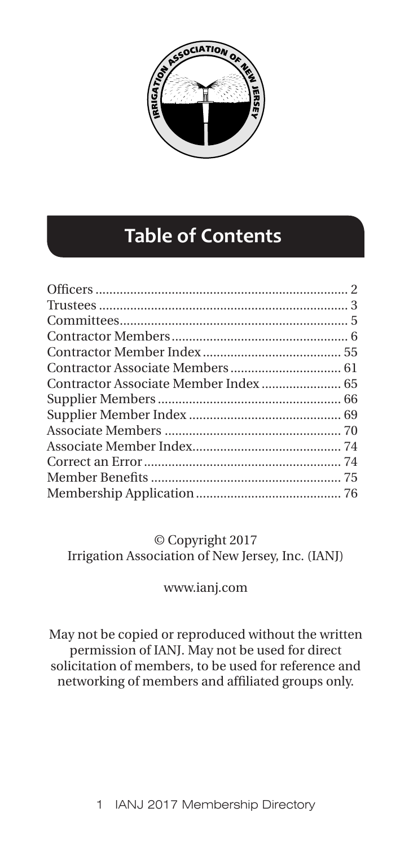

# **Table of Contents**

| Contractor Associate Member Index 65 |  |
|--------------------------------------|--|
|                                      |  |
|                                      |  |
|                                      |  |
|                                      |  |
|                                      |  |
|                                      |  |
|                                      |  |
|                                      |  |

© Copyright 2017 Irrigation Association of New Jersey, Inc. (IANJ)

## www.ianj.com

May not be copied or reproduced without the written permission of IANJ. May not be used for direct solicitation of members, to be used for reference and networking of members and affiliated groups only.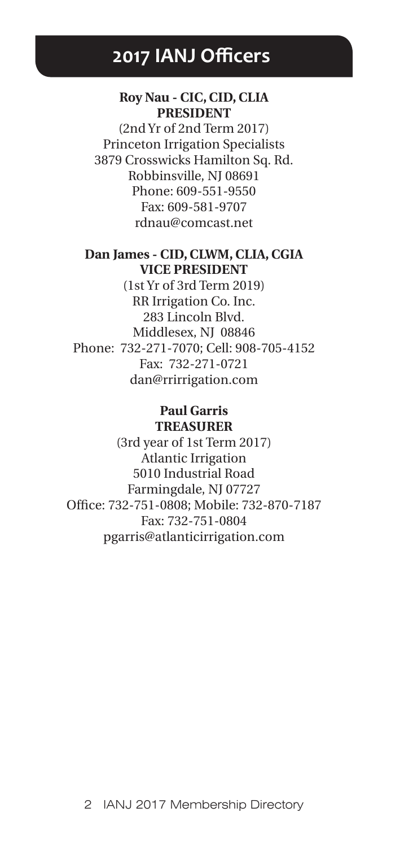# **2017 IANJ Officers**

## **Roy Nau - CIC, CID, CLIA PRESIDENT**

(2nd Yr of 2nd Term 2017) Princeton Irrigation Specialists 3879 Crosswicks Hamilton Sq. Rd. Robbinsville, NJ 08691 Phone: 609-551-9550 Fax: 609-581-9707 rdnau@comcast.net

## **Dan James - CID, CLWM, CLIA, CGIA VICE PRESIDENT**

(1st Yr of 3rd Term 2019) RR Irrigation Co. Inc. 283 Lincoln Blvd. Middlesex, NJ 08846 Phone: 732-271-7070; Cell: 908-705-4152 Fax: 732-271-0721 dan@rrirrigation.com

## **Paul Garris TREASURER**

(3rd year of 1st Term 2017) Atlantic Irrigation 5010 Industrial Road Farmingdale, NJ 07727 Office: 732-751-0808; Mobile: 732-870-7187 Fax: 732-751-0804 pgarris@atlanticirrigation.com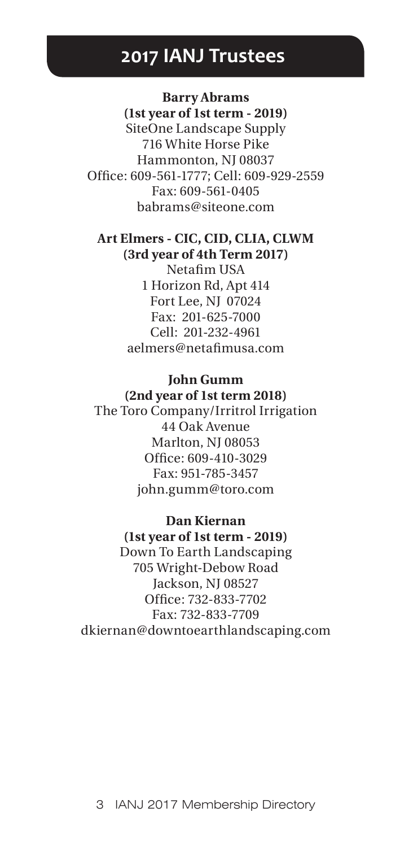# **2017 IANJ Trustees**

**Barry Abrams (1st year of 1st term - 2019)** SiteOne Landscape Supply 716 White Horse Pike Hammonton, NJ 08037 Office: 609-561-1777; Cell: 609-929-2559 Fax: 609-561-0405 babrams@siteone.com

## **Art Elmers - CIC, CID, CLIA, CLWM (3rd year of 4th Term 2017)**

Netafim USA 1 Horizon Rd, Apt 414 Fort Lee, NJ 07024 Fax: 201-625-7000 Cell: 201-232-4961 aelmers@netafimusa.com

## **John Gumm (2nd year of 1st term 2018)**

The Toro Company/Irritrol Irrigation 44 Oak Avenue Marlton, NJ 08053 Office: 609-410-3029 Fax: 951-785-3457 john.gumm@toro.com

# **Dan Kiernan**

**(1st year of 1st term - 2019)** Down To Earth Landscaping 705 Wright-Debow Road Jackson, NJ 08527 Office: 732-833-7702 Fax: 732-833-7709 dkiernan@downtoearthlandscaping.com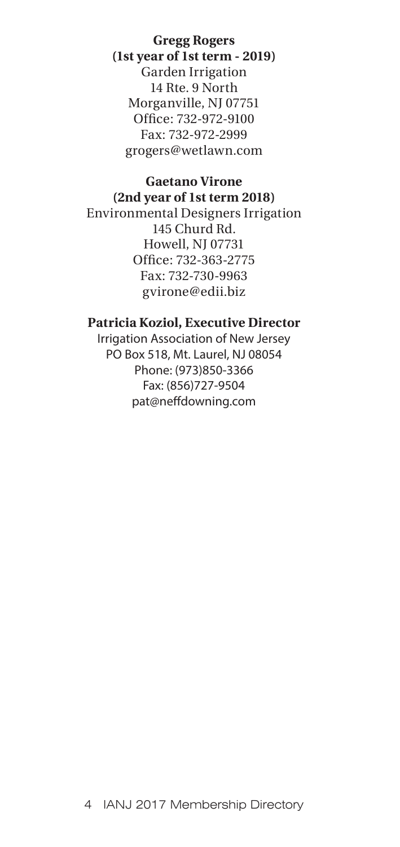**Gregg Rogers (1st year of 1st term - 2019)** Garden Irrigation 14 Rte. 9 North Morganville, NJ 07751 Office: 732-972-9100 Fax: 732-972-2999 grogers@wetlawn.com

#### **Gaetano Virone (2nd year of 1st term 2018)**

Environmental Designers Irrigation 145 Churd Rd. Howell, NJ 07731 Office: 732-363-2775 Fax: 732-730-9963 gvirone@edii.biz

## **Patricia Koziol, Executive Director**

Irrigation Association of New Jersey PO Box 518, Mt. Laurel, NJ 08054 Phone: (973)850-3366 Fax: (856)727-9504 pat@neffdowning.com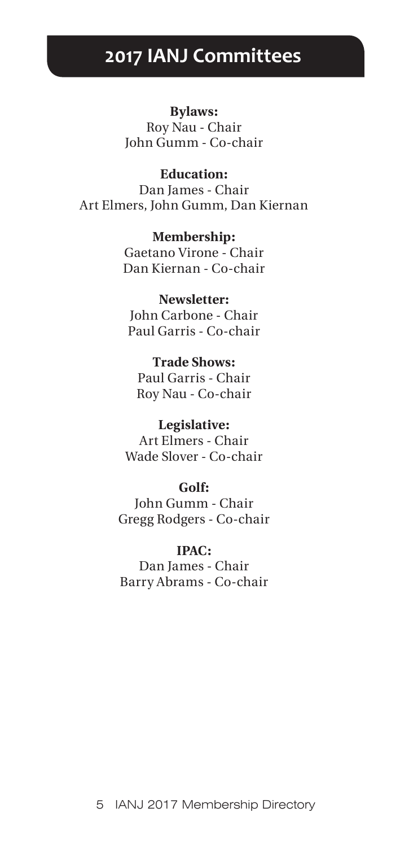# **2017 IANJ Committees**

**Bylaws:** Roy Nau - Chair John Gumm - Co-chair

**Education:** Dan James - Chair Art Elmers, John Gumm, Dan Kiernan

> **Membership:** Gaetano Virone - Chair Dan Kiernan - Co-chair

**Newsletter:** John Carbone - Chair Paul Garris - Co-chair

**Trade Shows:** Paul Garris - Chair Roy Nau - Co-chair

**Legislative:** Art Elmers - Chair Wade Slover - Co-chair

**Golf:** John Gumm - Chair Gregg Rodgers - Co-chair

**IPAC:** Dan James - Chair Barry Abrams - Co-chair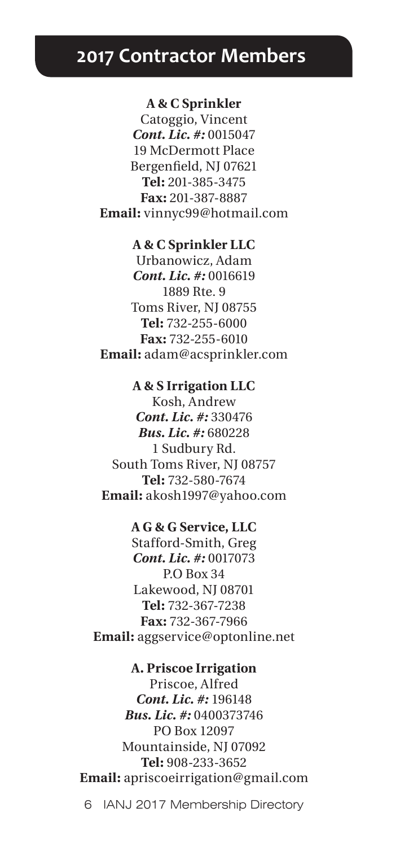# **2017 Contractor Members**

#### **A & C Sprinkler**

Catoggio, Vincent *Cont. Lic. #:* 0015047 19 McDermott Place Bergenfield, NJ 07621 **Tel:** 201-385-3475 **Fax:** 201-387-8887 **Email:** vinnyc99@hotmail.com

#### **A & C Sprinkler LLC**

Urbanowicz, Adam *Cont. Lic. #:* 0016619 1889 Rte. 9 Toms River, NJ 08755 **Tel:** 732-255-6000 **Fax:** 732-255-6010 **Email:** adam@acsprinkler.com

### **A & S Irrigation LLC**

Kosh, Andrew *Cont. Lic. #:* 330476 *Bus. Lic. #:* 680228 1 Sudbury Rd. South Toms River, NJ 08757 **Tel:** 732-580-7674 **Email:** akosh1997@yahoo.com

#### **A G & G Service, LLC**

Stafford-Smith, Greg *Cont. Lic. #:* 0017073 P.O Box 34 Lakewood, NJ 08701 **Tel:** 732-367-7238 **Fax:** 732-367-7966 **Email:** aggservice@optonline.net

## **A. Priscoe Irrigation**

Priscoe, Alfred *Cont. Lic. #:* 196148 *Bus. Lic. #:* 0400373746 PO Box 12097 Mountainside, NJ 07092 **Tel:** 908-233-3652 **Email:** apriscoeirrigation@gmail.com

6 IANJ 2017 Membership Directory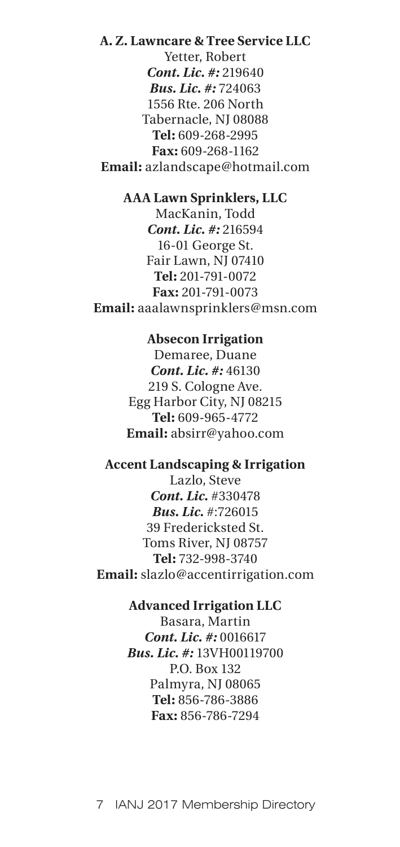# **A. Z. Lawncare & Tree Service LLC** Yetter, Robert *Cont. Lic. #:* 219640 *Bus. Lic. #:* 724063 1556 Rte. 206 North Tabernacle, NJ 08088 **Tel:** 609-268-2995 **Fax:** 609-268-1162 **Email:** azlandscape@hotmail.com

## **AAA Lawn Sprinklers, LLC**

MacKanin, Todd *Cont. Lic. #:* 216594 16-01 George St. Fair Lawn, NJ 07410 **Tel:** 201-791-0072 **Fax:** 201-791-0073 **Email:** aaalawnsprinklers@msn.com

#### **Absecon Irrigation**

Demaree, Duane *Cont. Lic. #:* 46130 219 S. Cologne Ave. Egg Harbor City, NJ 08215 **Tel:** 609-965-4772 **Email:** absirr@yahoo.com

# **Accent Landscaping & Irrigation**

Lazlo, Steve *Cont. Lic.* #330478 *Bus. Lic.* #:726015 39 Fredericksted St. Toms River, NJ 08757 **Tel:** 732-998-3740 **Email:** slazlo@accentirrigation.com

## **Advanced Irrigation LLC**

Basara, Martin *Cont. Lic. #:* 0016617 *Bus. Lic. #:* 13VH00119700 P.O. Box 132 Palmyra, NJ 08065 **Tel:** 856-786-3886 **Fax:** 856-786-7294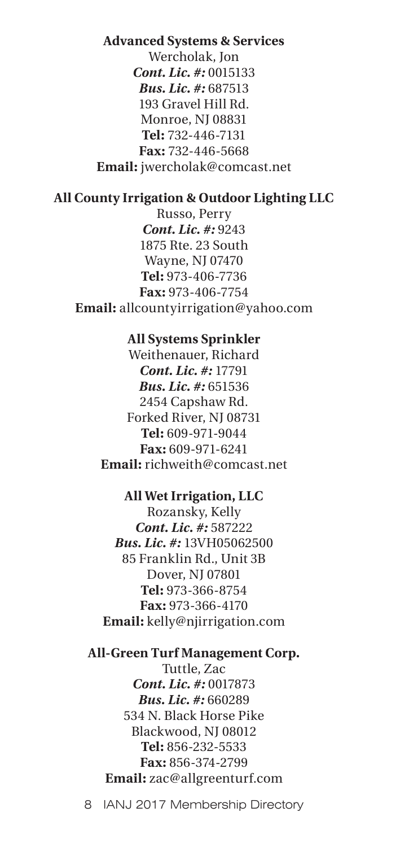# **Advanced Systems & Services** Wercholak, Jon *Cont. Lic. #:* 0015133 *Bus. Lic. #:* 687513 193 Gravel Hill Rd. Monroe, NJ 08831 **Tel:** 732-446-7131 **Fax:** 732-446-5668 **Email:** jwercholak@comcast.net

## **All County Irrigation & Outdoor Lighting LLC**

Russo, Perry *Cont. Lic. #:* 9243 1875 Rte. 23 South Wayne, NJ 07470 **Tel:** 973-406-7736 **Fax:** 973-406-7754 **Email:** allcountyirrigation@yahoo.com

## **All Systems Sprinkler**

Weithenauer, Richard *Cont. Lic. #:* 17791 *Bus. Lic. #:* 651536 2454 Capshaw Rd. Forked River, NJ 08731 **Tel:** 609-971-9044 **Fax:** 609-971-6241 **Email:** richweith@comcast.net

## **All Wet Irrigation, LLC**

Rozansky, Kelly *Cont. Lic. #:* 587222 *Bus. Lic. #:* 13VH05062500 85 Franklin Rd., Unit 3B Dover, NJ 07801 **Tel:** 973-366-8754 **Fax:** 973-366-4170 **Email:** kelly@njirrigation.com

# **All-Green Turf Management Corp.** Tuttle, Zac *Cont. Lic. #:* 0017873 *Bus. Lic. #:* 660289 534 N. Black Horse Pike Blackwood, NJ 08012 **Tel:** 856-232-5533 **Fax:** 856-374-2799 **Email:** zac@allgreenturf.com

8 IANJ 2017 Membership Directory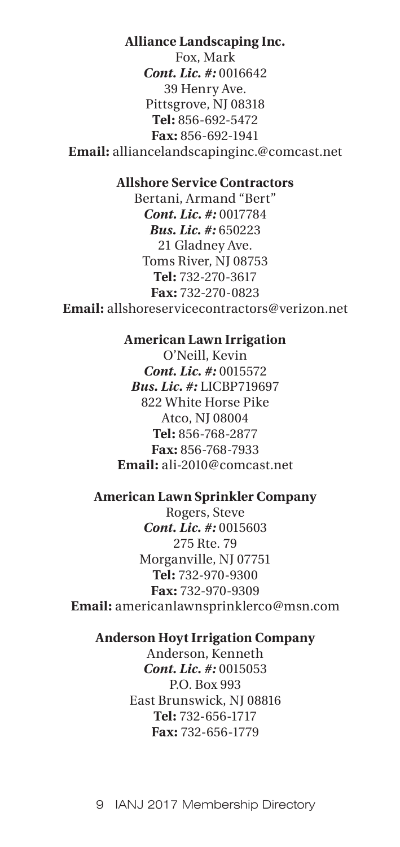# **Alliance Landscaping Inc.**

Fox, Mark *Cont. Lic. #:* 0016642 39 Henry Ave. Pittsgrove, NJ 08318 **Tel:** 856-692-5472 **Fax:** 856-692-1941 **Email:** alliancelandscapinginc.@comcast.net

## **Allshore Service Contractors**

Bertani, Armand "Bert" *Cont. Lic. #:* 0017784 *Bus. Lic. #:* 650223 21 Gladney Ave. Toms River, NJ 08753 **Tel:** 732-270-3617 **Fax:** 732-270-0823 **Email:** allshoreservicecontractors@verizon.net

## **American Lawn Irrigation**

O'Neill, Kevin *Cont. Lic. #:* 0015572 *Bus. Lic. #:* LICBP719697 822 White Horse Pike Atco, NJ 08004 **Tel:** 856-768-2877 **Fax:** 856-768-7933 **Email:** ali-2010@comcast.net

## **American Lawn Sprinkler Company**

Rogers, Steve *Cont. Lic. #:* 0015603 275 Rte. 79 Morganville, NJ 07751 **Tel:** 732-970-9300 **Fax:** 732-970-9309 **Email:** americanlawnsprinklerco@msn.com

#### **Anderson Hoyt Irrigation Company**

Anderson, Kenneth *Cont. Lic. #:* 0015053 P.O. Box 993 East Brunswick, NJ 08816 **Tel:** 732-656-1717 **Fax:** 732-656-1779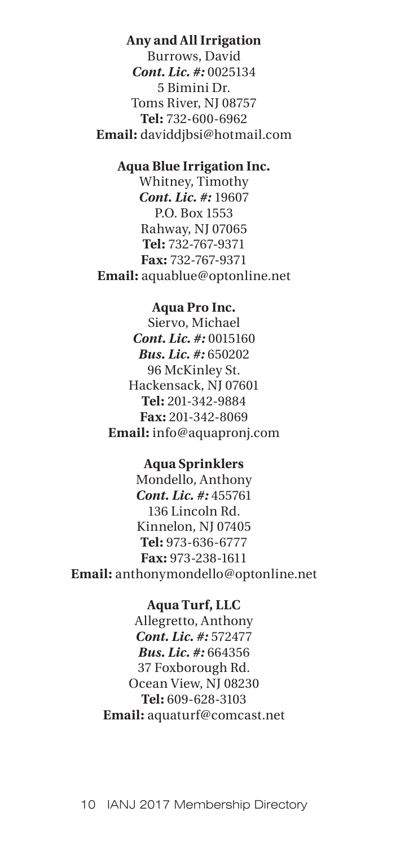## **Any and All Irrigation**

Burrows, David *Cont. Lic. #:* 0025134 5 Bimini Dr. Toms River, NJ 08757 **Tel:** 732-600-6962 **Email:** daviddjbsi@hotmail.com

# **Aqua Blue Irrigation Inc.**

Whitney, Timothy *Cont. Lic. #:* 19607 P.O. Box 1553 Rahway, NJ 07065 **Tel:** 732-767-9371 **Fax:** 732-767-9371 **Email:** aquablue@optonline.net

### **Aqua Pro Inc.**

Siervo, Michael *Cont. Lic. #:* 0015160 *Bus. Lic. #:* 650202 96 McKinley St. Hackensack, NJ 07601 **Tel:** 201-342-9884 **Fax:** 201-342-8069 **Email:** info@aquapronj.com

#### **Aqua Sprinklers**

Mondello, Anthony *Cont. Lic. #:* 455761 136 Lincoln Rd. Kinnelon, NJ 07405 **Tel:** 973-636-6777 **Fax:** 973-238-1611 **Email:** anthonymondello@optonline.net

#### **Aqua Turf, LLC**

Allegretto, Anthony *Cont. Lic. #:* 572477 *Bus. Lic. #:* 664356 37 Foxborough Rd. Ocean View, NJ 08230 **Tel:** 609-628-3103 **Email:** aquaturf@comcast.net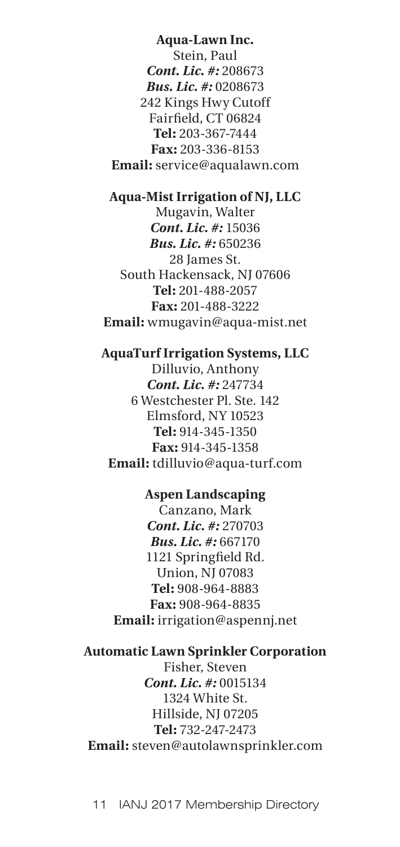## **Aqua-Lawn Inc.**

Stein, Paul *Cont. Lic. #:* 208673 *Bus. Lic. #:* 0208673 242 Kings Hwy Cutoff Fairfield, CT 06824 **Tel:** 203-367-7444 **Fax:** 203-336-8153 **Email:** service@aqualawn.com

## **Aqua-Mist Irrigation of NJ, LLC**

Mugavin, Walter *Cont. Lic. #:* 15036 *Bus. Lic. #:* 650236 28 James St. South Hackensack, NJ 07606 **Tel:** 201-488-2057 **Fax:** 201-488-3222 **Email:** wmugavin@aqua-mist.net

# **AquaTurf Irrigation Systems, LLC**

Dilluvio, Anthony *Cont. Lic. #:* 247734 6 Westchester Pl. Ste. 142 Elmsford, NY 10523 **Tel:** 914-345-1350 **Fax:** 914-345-1358 **Email:** tdilluvio@aqua-turf.com

# **Aspen Landscaping**

Canzano, Mark *Cont. Lic. #:* 270703 *Bus. Lic. #:* 667170 1121 Springfield Rd. Union, NJ 07083 **Tel:** 908-964-8883 **Fax:** 908-964-8835 **Email:** irrigation@aspennj.net

## **Automatic Lawn Sprinkler Corporation**

Fisher, Steven *Cont. Lic. #:* 0015134 1324 White St. Hillside, NJ 07205 **Tel:** 732-247-2473 **Email:** steven@autolawnsprinkler.com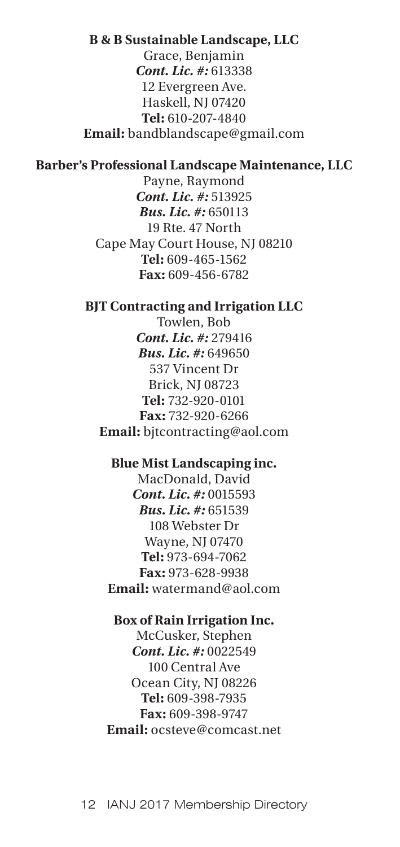#### **B & B Sustainable Landscape, LLC**

Grace, Benjamin *Cont. Lic. #:* 613338 12 Evergreen Ave. Haskell, NJ 07420 **Tel:** 610-207-4840 **Email:** bandblandscape@gmail.com

## **Barber's Professional Landscape Maintenance, LLC**

Payne, Raymond *Cont. Lic. #:* 513925 *Bus. Lic. #:* 650113 19 Rte. 47 North Cape May Court House, NJ 08210 **Tel:** 609-465-1562 **Fax:** 609-456-6782

### **BJT Contracting and Irrigation LLC**

Towlen, Bob *Cont. Lic. #:* 279416 *Bus. Lic. #:* 649650 537 Vincent Dr Brick, NJ 08723 **Tel:** 732-920-0101 **Fax:** 732-920-6266 **Email:** bjtcontracting@aol.com

#### **Blue Mist Landscaping inc.**

MacDonald, David *Cont. Lic. #:* 0015593 *Bus. Lic. #:* 651539 108 Webster Dr Wayne, NJ 07470 **Tel:** 973-694-7062 **Fax:** 973-628-9938 **Email:** watermand@aol.com

#### **Box of Rain Irrigation Inc.**

McCusker, Stephen *Cont. Lic. #:* 0022549 100 Central Ave Ocean City, NJ 08226 **Tel:** 609-398-7935 **Fax:** 609-398-9747 **Email:** ocsteve@comcast.net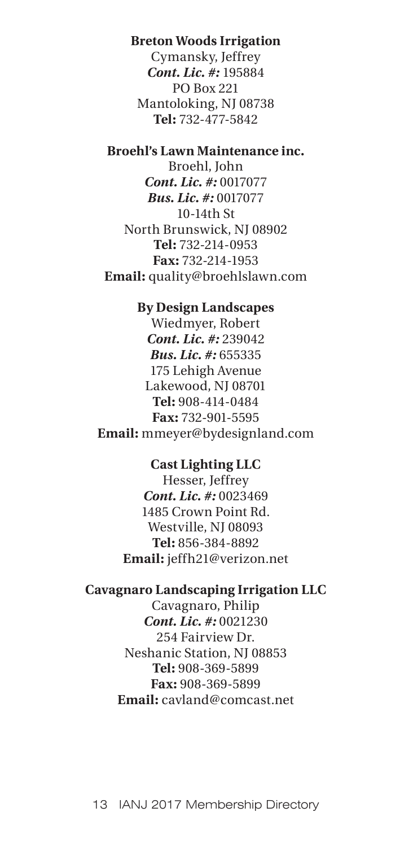## **Breton Woods Irrigation**

Cymansky, Jeffrey *Cont. Lic. #:* 195884 PO Box 221 Mantoloking, NJ 08738 **Tel:** 732-477-5842

## **Broehl's Lawn Maintenance inc.**

Broehl, John *Cont. Lic. #:* 0017077 *Bus. Lic. #:* 0017077 10-14th St North Brunswick, NJ 08902 **Tel:** 732-214-0953 **Fax:** 732-214-1953 **Email:** quality@broehlslawn.com

#### **By Design Landscapes**

Wiedmyer, Robert *Cont. Lic. #:* 239042 *Bus. Lic. #:* 655335 175 Lehigh Avenue Lakewood, NJ 08701 **Tel:** 908-414-0484 **Fax:** 732-901-5595 **Email:** mmeyer@bydesignland.com

#### **Cast Lighting LLC**

Hesser, Jeffrey *Cont. Lic. #:* 0023469 1485 Crown Point Rd. Westville, NJ 08093 **Tel:** 856-384-8892 **Email:** jeffh21@verizon.net

#### **Cavagnaro Landscaping Irrigation LLC**

Cavagnaro, Philip *Cont. Lic. #:* 0021230 254 Fairview Dr. Neshanic Station, NJ 08853 **Tel:** 908-369-5899 **Fax:** 908-369-5899 **Email:** cavland@comcast.net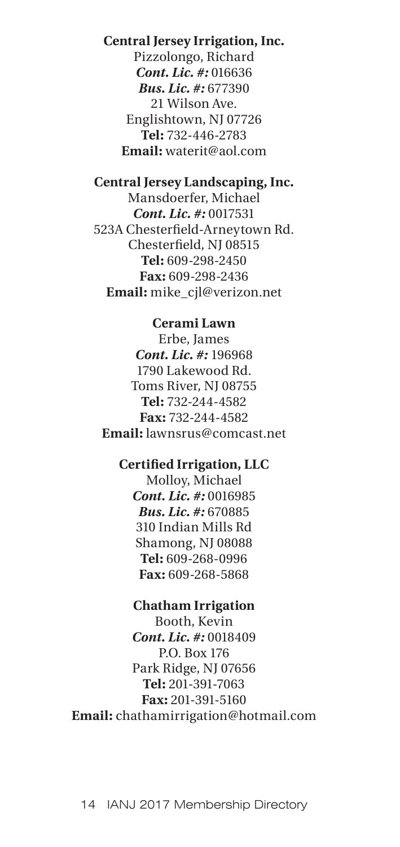## **Central Jersey Irrigation, Inc.**

Pizzolongo, Richard *Cont. Lic. #:* 016636 *Bus. Lic. #:* 677390 21 Wilson Ave. Englishtown, NJ 07726 **Tel:** 732-446-2783 **Email:** waterit@aol.com

## **Central Jersey Landscaping, Inc.**

Mansdoerfer, Michael *Cont. Lic. #:* 0017531 523A Chesterfield-Arneytown Rd. Chesterfield, NJ 08515 **Tel:** 609-298-2450 **Fax:** 609-298-2436 **Email:** mike\_cjl@verizon.net

#### **Cerami Lawn**

Erbe, James *Cont. Lic. #:* 196968 1790 Lakewood Rd. Toms River, NJ 08755 **Tel:** 732-244-4582 **Fax:** 732-244-4582 **Email:** lawnsrus@comcast.net

#### **Certified Irrigation, LLC**

Molloy, Michael *Cont. Lic. #:* 0016985 *Bus. Lic. #:* 670885 310 Indian Mills Rd Shamong, NJ 08088 **Tel:** 609-268-0996 **Fax:** 609-268-5868

#### **Chatham Irrigation**

Booth, Kevin *Cont. Lic. #:* 0018409 P.O. Box 176 Park Ridge, NJ 07656 **Tel:** 201-391-7063 **Fax:** 201-391-5160 **Email:** chathamirrigation@hotmail.com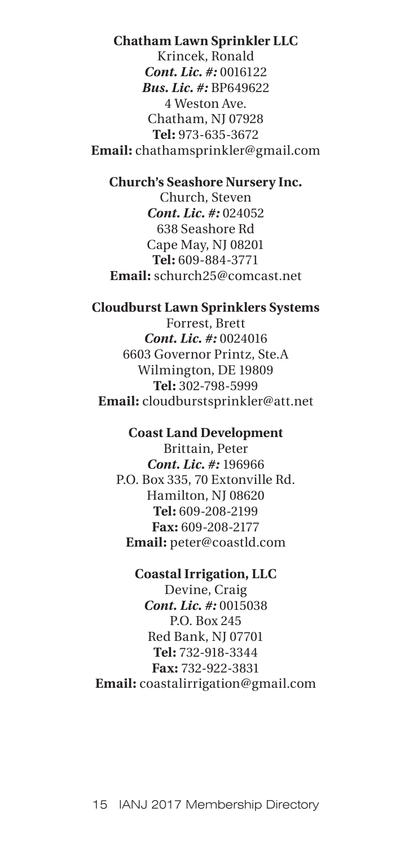## **Chatham Lawn Sprinkler LLC**

Krincek, Ronald *Cont. Lic. #:* 0016122 *Bus. Lic. #:* BP649622 4 Weston Ave. Chatham, NJ 07928 **Tel:** 973-635-3672 **Email:** chathamsprinkler@gmail.com

#### **Church's Seashore Nursery Inc.**

Church, Steven *Cont. Lic. #:* 024052 638 Seashore Rd Cape May, NJ 08201 **Tel:** 609-884-3771 **Email:** schurch25@comcast.net

#### **Cloudburst Lawn Sprinklers Systems**

Forrest, Brett *Cont. Lic. #:* 0024016 6603 Governor Printz, Ste.A Wilmington, DE 19809 **Tel:** 302-798-5999 **Email:** cloudburstsprinkler@att.net

#### **Coast Land Development**

Brittain, Peter *Cont. Lic. #:* 196966 P.O. Box 335, 70 Extonville Rd. Hamilton, NJ 08620 **Tel:** 609-208-2199 **Fax:** 609-208-2177 **Email:** peter@coastld.com

# **Coastal Irrigation, LLC**

Devine, Craig *Cont. Lic. #:* 0015038 P.O. Box 245 Red Bank, NJ 07701 **Tel:** 732-918-3344 **Fax:** 732-922-3831 **Email:** coastalirrigation@gmail.com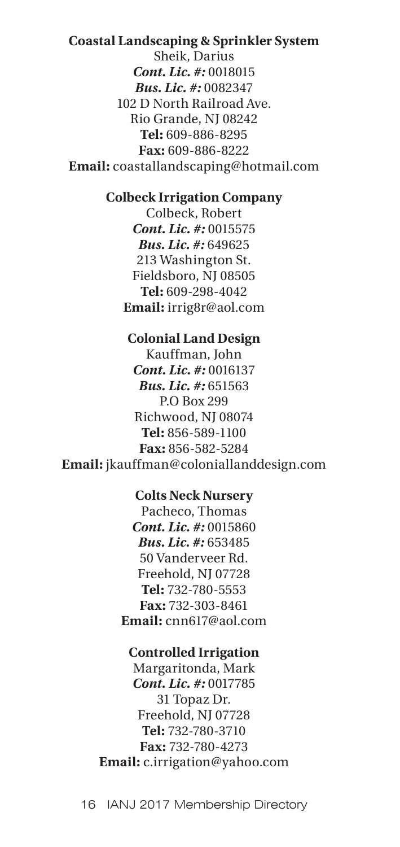#### **Coastal Landscaping & Sprinkler System**

Sheik, Darius *Cont. Lic. #:* 0018015 *Bus. Lic. #:* 0082347 102 D North Railroad Ave. Rio Grande, NJ 08242 **Tel:** 609-886-8295 **Fax:** 609-886-8222 **Email:** coastallandscaping@hotmail.com

#### **Colbeck Irrigation Company**

Colbeck, Robert *Cont. Lic. #:* 0015575 *Bus. Lic. #:* 649625 213 Washington St. Fieldsboro, NJ 08505 **Tel:** 609-298-4042 **Email:** irrig8r@aol.com

#### **Colonial Land Design**

Kauffman, John *Cont. Lic. #:* 0016137 *Bus. Lic. #:* 651563 P.O Box 299 Richwood, NJ 08074 **Tel:** 856-589-1100 **Fax:** 856-582-5284 **Email:** jkauffman@coloniallanddesign.com

## **Colts Neck Nursery**

Pacheco, Thomas *Cont. Lic. #:* 0015860 *Bus. Lic. #:* 653485 50 Vanderveer Rd. Freehold, NJ 07728 **Tel:** 732-780-5553 **Fax:** 732-303-8461 **Email:** cnn617@aol.com

## **Controlled Irrigation**

Margaritonda, Mark *Cont. Lic. #:* 0017785 31 Topaz Dr. Freehold, NJ 07728 **Tel:** 732-780-3710 **Fax:** 732-780-4273 **Email:** c.irrigation@yahoo.com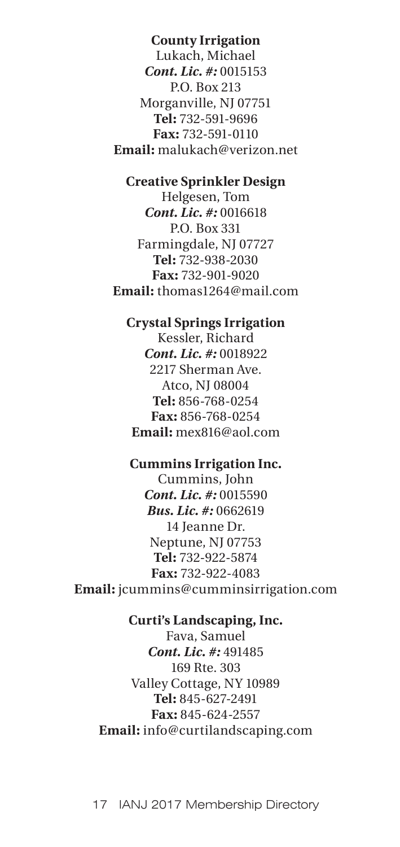## **County Irrigation**

Lukach, Michael *Cont. Lic. #:* 0015153 P.O. Box 213 Morganville, NJ 07751 **Tel:** 732-591-9696 **Fax:** 732-591-0110 **Email:** malukach@verizon.net

## **Creative Sprinkler Design**

Helgesen, Tom *Cont. Lic. #:* 0016618 P.O. Box 331 Farmingdale, NJ 07727 **Tel:** 732-938-2030 **Fax:** 732-901-9020 **Email:** thomas1264@mail.com

#### **Crystal Springs Irrigation**

Kessler, Richard *Cont. Lic. #:* 0018922 2217 Sherman Ave. Atco, NJ 08004 **Tel:** 856-768-0254 **Fax:** 856-768-0254 **Email:** mex816@aol.com

## **Cummins Irrigation Inc.**

Cummins, John *Cont. Lic. #:* 0015590 *Bus. Lic. #:* 0662619 14 Jeanne Dr. Neptune, NJ 07753 **Tel:** 732-922-5874 **Fax:** 732-922-4083 **Email:** jcummins@cumminsirrigation.com

## **Curti's Landscaping, Inc.**

Fava, Samuel *Cont. Lic. #:* 491485 169 Rte. 303 Valley Cottage, NY 10989 **Tel:** 845-627-2491 **Fax:** 845-624-2557 **Email:** info@curtilandscaping.com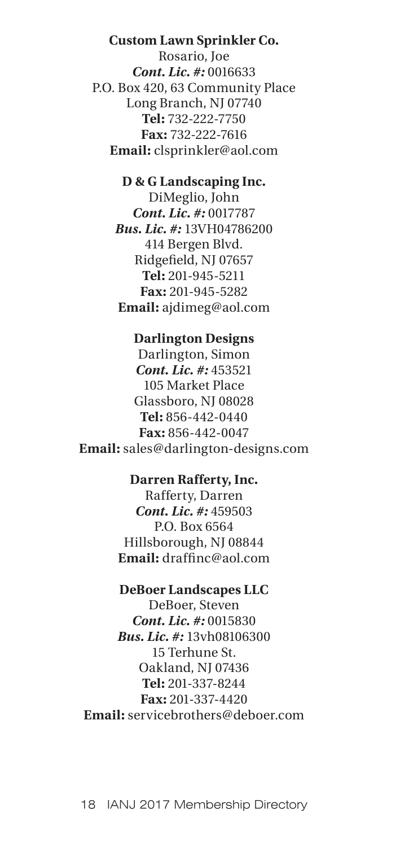## **Custom Lawn Sprinkler Co.**

Rosario, Joe *Cont. Lic. #:* 0016633 P.O. Box 420, 63 Community Place Long Branch, NJ 07740 **Tel:** 732-222-7750 **Fax:** 732-222-7616 **Email:** clsprinkler@aol.com

## **D & G Landscaping Inc.**

DiMeglio, John *Cont. Lic. #:* 0017787 *Bus. Lic. #:* 13VH04786200 414 Bergen Blvd. Ridgefield, NJ 07657 **Tel:** 201-945-5211 **Fax:** 201-945-5282 **Email:** ajdimeg@aol.com

## **Darlington Designs**

Darlington, Simon *Cont. Lic. #:* 453521 105 Market Place Glassboro, NJ 08028 **Tel:** 856-442-0440 **Fax:** 856-442-0047 **Email:** sales@darlington-designs.com

## **Darren Rafferty, Inc.**

Rafferty, Darren *Cont. Lic. #:* 459503 P.O. Box 6564 Hillsborough, NJ 08844 **Email:** draffinc@aol.com

#### **DeBoer Landscapes LLC**

DeBoer, Steven *Cont. Lic. #:* 0015830 *Bus. Lic. #:* 13vh08106300 15 Terhune St. Oakland, NJ 07436 **Tel:** 201-337-8244 **Fax:** 201-337-4420 **Email:** servicebrothers@deboer.com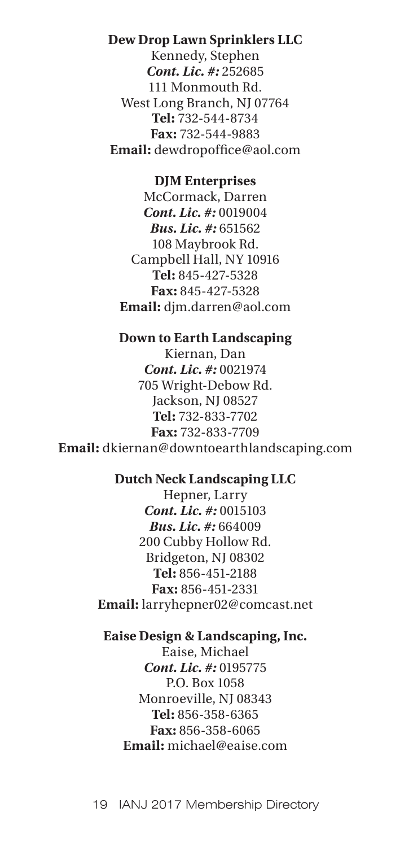## **Dew Drop Lawn Sprinklers LLC**

Kennedy, Stephen *Cont. Lic. #:* 252685 111 Monmouth Rd. West Long Branch, NJ 07764 **Tel:** 732-544-8734 **Fax:** 732-544-9883 **Email:** dewdropoffice@aol.com

#### **DJM Enterprises**

McCormack, Darren *Cont. Lic. #:* 0019004 *Bus. Lic. #:* 651562 108 Maybrook Rd. Campbell Hall, NY 10916 **Tel:** 845-427-5328 **Fax:** 845-427-5328 **Email:** djm.darren@aol.com

# **Down to Earth Landscaping**

Kiernan, Dan *Cont. Lic. #:* 0021974 705 Wright-Debow Rd. Jackson, NJ 08527 **Tel:** 732-833-7702 **Fax:** 732-833-7709 **Email:** dkiernan@downtoearthlandscaping.com

## **Dutch Neck Landscaping LLC**

Hepner, Larry *Cont. Lic. #:* 0015103 *Bus. Lic. #:* 664009 200 Cubby Hollow Rd. Bridgeton, NJ 08302 **Tel:** 856-451-2188 **Fax:** 856-451-2331 **Email:** larryhepner02@comcast.net

## **Eaise Design & Landscaping, Inc.**

Eaise, Michael *Cont. Lic. #:* 0195775 P.O. Box 1058 Monroeville, NJ 08343 **Tel:** 856-358-6365 **Fax:** 856-358-6065 **Email:** michael@eaise.com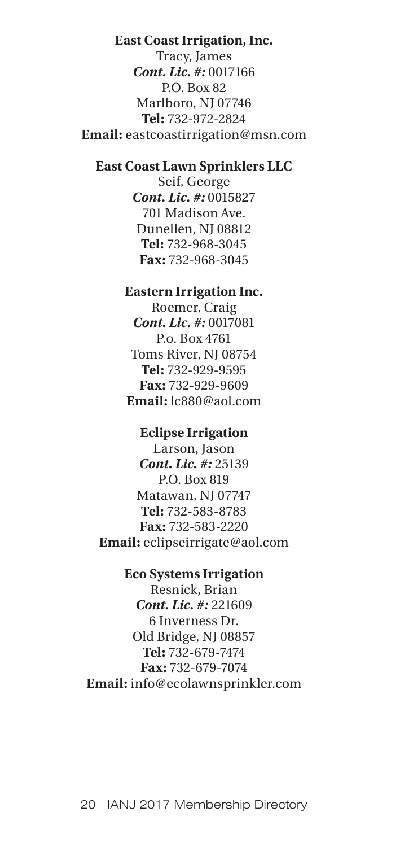### **East Coast Irrigation, Inc.**

Tracy, James *Cont. Lic. #:* 0017166 P.O. Box 82 Marlboro, NJ 07746 **Tel:** 732-972-2824 **Email:** eastcoastirrigation@msn.com

## **East Coast Lawn Sprinklers LLC**

Seif, George *Cont. Lic. #:* 0015827 701 Madison Ave. Dunellen, NJ 08812 **Tel:** 732-968-3045 **Fax:** 732-968-3045

### **Eastern Irrigation Inc.**

Roemer, Craig *Cont. Lic. #:* 0017081 P.o. Box 4761 Toms River, NJ 08754 **Tel:** 732-929-9595 **Fax:** 732-929-9609 **Email:** lc880@aol.com

#### **Eclipse Irrigation**

Larson, Jason *Cont. Lic. #:* 25139 P.O. Box 819 Matawan, NJ 07747 **Tel:** 732-583-8783 **Fax:** 732-583-2220 **Email:** eclipseirrigate@aol.com

## **Eco Systems Irrigation**

Resnick, Brian *Cont. Lic. #:* 221609 6 Inverness Dr. Old Bridge, NJ 08857 **Tel:** 732-679-7474 **Fax:** 732-679-7074 **Email:** info@ecolawnsprinkler.com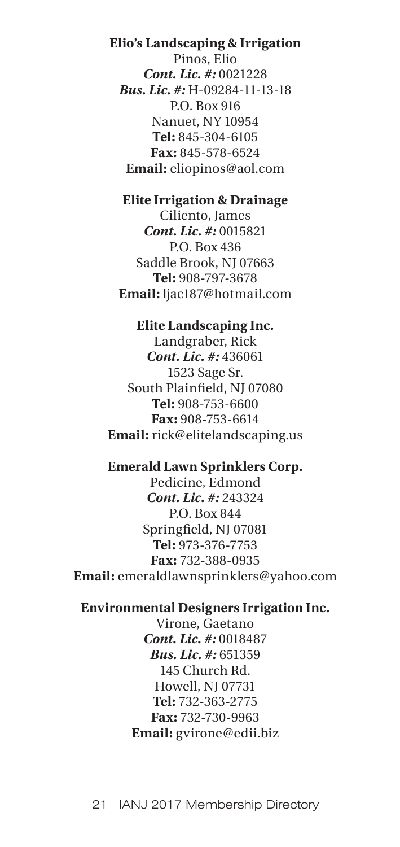**Elio's Landscaping & Irrigation** Pinos, Elio *Cont. Lic. #:* 0021228 *Bus. Lic. #:* H-09284-11-13-18 P.O. Box 916 Nanuet, NY 10954 **Tel:** 845-304-6105 **Fax:** 845-578-6524 **Email:** eliopinos@aol.com

# **Elite Irrigation & Drainage**

Ciliento, James *Cont. Lic. #:* 0015821 P.O. Box 436 Saddle Brook, NJ 07663 **Tel:** 908-797-3678 **Email:** ljac187@hotmail.com

## **Elite Landscaping Inc.**

Landgraber, Rick *Cont. Lic. #:* 436061 1523 Sage Sr. South Plainfield, NJ 07080 **Tel:** 908-753-6600 **Fax:** 908-753-6614 **Email:** rick@elitelandscaping.us

## **Emerald Lawn Sprinklers Corp.**

Pedicine, Edmond *Cont. Lic. #:* 243324 P.O. Box 844 Springfield, NJ 07081 **Tel:** 973-376-7753 **Fax:** 732-388-0935 **Email:** emeraldlawnsprinklers@yahoo.com

## **Environmental Designers Irrigation Inc.**

Virone, Gaetano *Cont. Lic. #:* 0018487 *Bus. Lic. #:* 651359 145 Church Rd. Howell, NJ 07731 **Tel:** 732-363-2775 **Fax:** 732-730-9963 **Email:** gvirone@edii.biz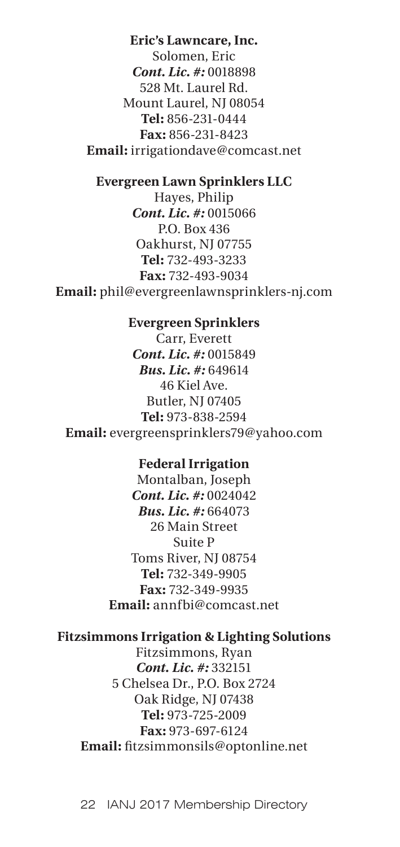# **Eric's Lawncare, Inc.**

Solomen, Eric *Cont. Lic. #:* 0018898 528 Mt. Laurel Rd. Mount Laurel, NJ 08054 **Tel:** 856-231-0444 **Fax:** 856-231-8423 **Email:** irrigationdave@comcast.net

#### **Evergreen Lawn Sprinklers LLC**

Hayes, Philip *Cont. Lic. #:* 0015066 P.O. Box 436 Oakhurst, NJ 07755 **Tel:** 732-493-3233 **Fax:** 732-493-9034 **Email:** phil@evergreenlawnsprinklers-nj.com

#### **Evergreen Sprinklers**

Carr, Everett *Cont. Lic. #:* 0015849 *Bus. Lic. #:* 649614 46 Kiel Ave. Butler, NJ 07405 **Tel:** 973-838-2594 **Email:** evergreensprinklers79@yahoo.com

#### **Federal Irrigation**

Montalban, Joseph *Cont. Lic. #:* 0024042 *Bus. Lic. #:* 664073 26 Main Street Suite P Toms River, NJ 08754 **Tel:** 732-349-9905 **Fax:** 732-349-9935 **Email:** annfbi@comcast.net

# **Fitzsimmons Irrigation & Lighting Solutions**

Fitzsimmons, Ryan *Cont. Lic. #:* 332151 5 Chelsea Dr., P.O. Box 2724 Oak Ridge, NJ 07438 **Tel:** 973-725-2009 **Fax:** 973-697-6124 **Email:** fitzsimmonsils@optonline.net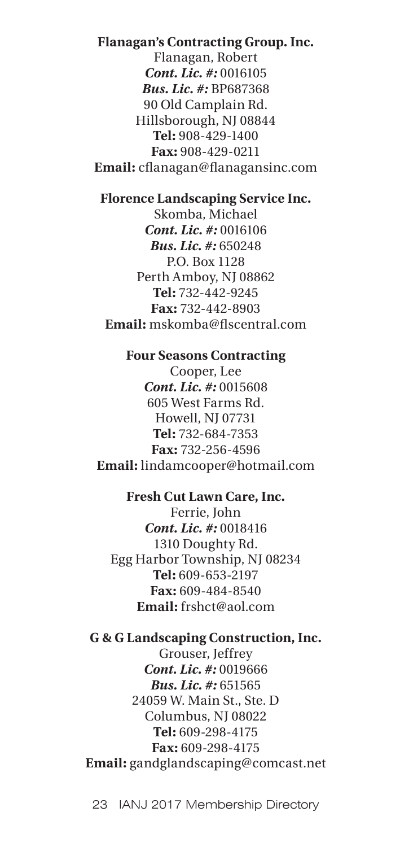## **Flanagan's Contracting Group. Inc.**

Flanagan, Robert *Cont. Lic. #:* 0016105 *Bus. Lic. #:* BP687368 90 Old Camplain Rd. Hillsborough, NJ 08844 **Tel:** 908-429-1400 **Fax:** 908-429-0211 **Email:** cflanagan@flanagansinc.com

## **Florence Landscaping Service Inc.**

Skomba, Michael *Cont. Lic. #:* 0016106 *Bus. Lic. #:* 650248 P.O. Box 1128 Perth Amboy, NJ 08862 **Tel:** 732-442-9245 **Fax:** 732-442-8903 **Email:** mskomba@flscentral.com

**Four Seasons Contracting** Cooper, Lee *Cont. Lic. #:* 0015608 605 West Farms Rd. Howell, NJ 07731 **Tel:** 732-684-7353 **Fax:** 732-256-4596 **Email:** lindamcooper@hotmail.com

**Fresh Cut Lawn Care, Inc.** Ferrie, John *Cont. Lic. #:* 0018416 1310 Doughty Rd. Egg Harbor Township, NJ 08234 **Tel:** 609-653-2197 **Fax:** 609-484-8540 **Email:** frshct@aol.com

## **G & G Landscaping Construction, Inc.**

Grouser, Jeffrey *Cont. Lic. #:* 0019666 *Bus. Lic. #:* 651565 24059 W. Main St., Ste. D Columbus, NJ 08022 **Tel:** 609-298-4175 **Fax:** 609-298-4175 **Email:** gandglandscaping@comcast.net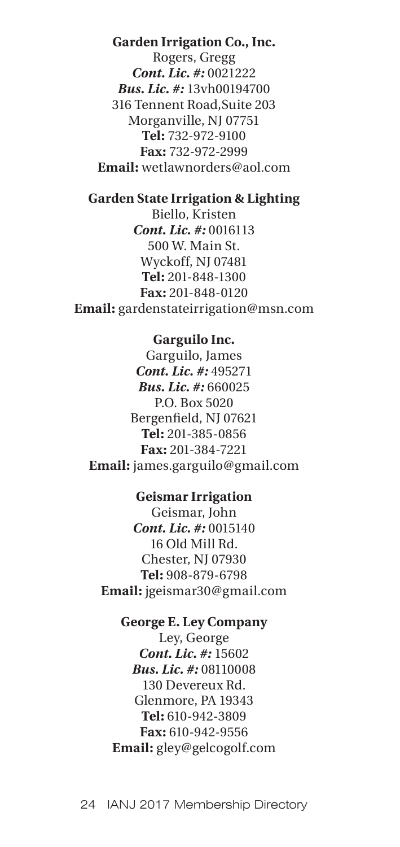**Garden Irrigation Co., Inc.** Rogers, Gregg *Cont. Lic. #:* 0021222 *Bus. Lic. #:* 13vh00194700 316 Tennent Road,Suite 203 Morganville, NJ 07751 **Tel:** 732-972-9100 **Fax:** 732-972-2999 **Email:** wetlawnorders@aol.com

# **Garden State Irrigation & Lighting**

Biello, Kristen *Cont. Lic. #:* 0016113 500 W. Main St. Wyckoff, NJ 07481 **Tel:** 201-848-1300 **Fax:** 201-848-0120 **Email:** gardenstateirrigation@msn.com

## **Garguilo Inc.**

Garguilo, James *Cont. Lic. #:* 495271 *Bus. Lic. #:* 660025 P.O. Box 5020 Bergenfield, NJ 07621 **Tel:** 201-385-0856 **Fax:** 201-384-7221 **Email:** james.garguilo@gmail.com

## **Geismar Irrigation**

Geismar, John *Cont. Lic. #:* 0015140 16 Old Mill Rd. Chester, NJ 07930 **Tel:** 908-879-6798 **Email:** jgeismar30@gmail.com

## **George E. Ley Company**

Ley, George *Cont. Lic. #:* 15602 *Bus. Lic. #:* 08110008 130 Devereux Rd. Glenmore, PA 19343 **Tel:** 610-942-3809 **Fax:** 610-942-9556 **Email:** gley@gelcogolf.com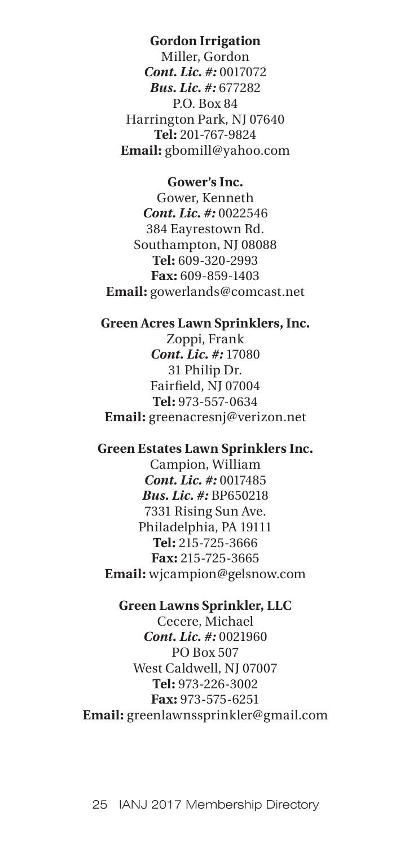# **Gordon Irrigation**

Miller, Gordon *Cont. Lic. #:* 0017072 *Bus. Lic. #:* 677282 P.O. Box 84 Harrington Park, NJ 07640 **Tel:** 201-767-9824 **Email:** gbomill@yahoo.com

### **Gower's Inc.**

Gower, Kenneth *Cont. Lic. #:* 0022546 384 Eayrestown Rd. Southampton, NJ 08088 **Tel:** 609-320-2993 **Fax:** 609-859-1403 **Email:** gowerlands@comcast.net

## **Green Acres Lawn Sprinklers, Inc.**

Zoppi, Frank *Cont. Lic. #:* 17080 31 Philip Dr. Fairfield, NJ 07004 **Tel:** 973-557-0634 **Email:** greenacresnj@verizon.net

## **Green Estates Lawn Sprinklers Inc.**

Campion, William *Cont. Lic. #:* 0017485 *Bus. Lic. #:* BP650218 7331 Rising Sun Ave. Philadelphia, PA 19111 **Tel:** 215-725-3666 **Fax:** 215-725-3665 **Email:** wjcampion@gelsnow.com

#### **Green Lawns Sprinkler, LLC**

Cecere, Michael *Cont. Lic. #:* 0021960 PO Box 507 West Caldwell, NJ 07007 **Tel:** 973-226-3002 **Fax:** 973-575-6251 **Email:** greenlawnssprinkler@gmail.com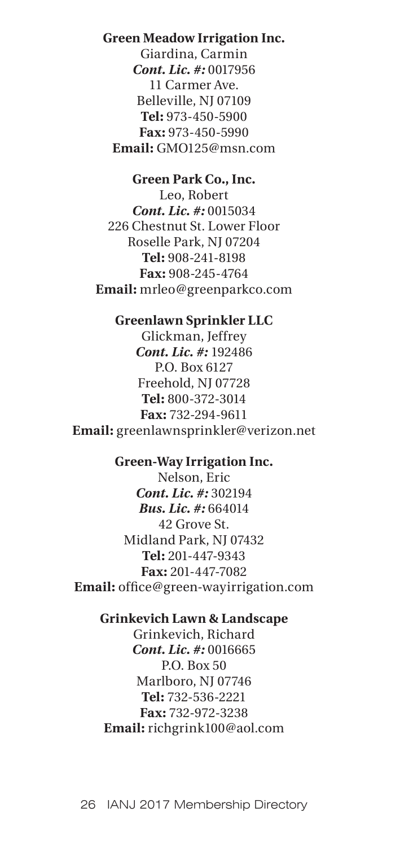# **Green Meadow Irrigation Inc.**

Giardina, Carmin *Cont. Lic. #:* 0017956 11 Carmer Ave. Belleville, NJ 07109 **Tel:** 973-450-5900 **Fax:** 973-450-5990 **Email:** GMO125@msn.com

## **Green Park Co., Inc.**

Leo, Robert *Cont. Lic. #:* 0015034 226 Chestnut St. Lower Floor Roselle Park, NJ 07204 **Tel:** 908-241-8198 **Fax:** 908-245-4764 **Email:** mrleo@greenparkco.com

#### **Greenlawn Sprinkler LLC**

Glickman, Jeffrey *Cont. Lic. #:* 192486 P.O. Box 6127 Freehold, NJ 07728 **Tel:** 800-372-3014 **Fax:** 732-294-9611 **Email:** greenlawnsprinkler@verizon.net

## **Green-Way Irrigation Inc.**

Nelson, Eric *Cont. Lic. #:* 302194 *Bus. Lic. #:* 664014 42 Grove St. Midland Park, NJ 07432 **Tel:** 201-447-9343 **Fax:** 201-447-7082 **Email:** office@green-wayirrigation.com

## **Grinkevich Lawn & Landscape**

Grinkevich, Richard *Cont. Lic. #:* 0016665 P.O. Box 50 Marlboro, NJ 07746 **Tel:** 732-536-2221 **Fax:** 732-972-3238 **Email:** richgrink100@aol.com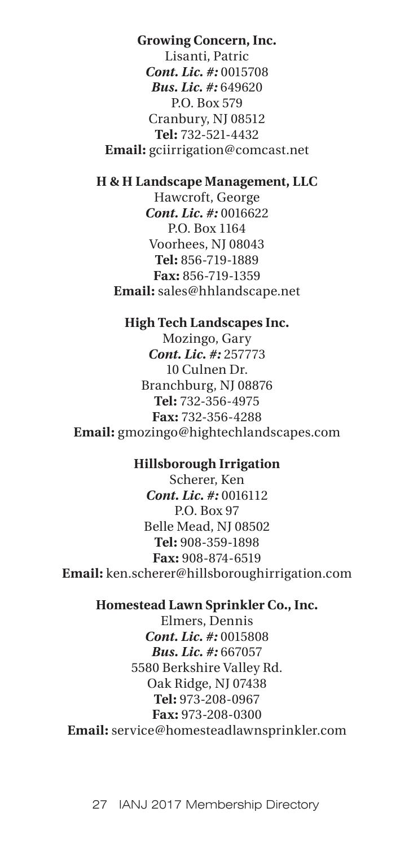# **Growing Concern, Inc.**

Lisanti, Patric *Cont. Lic. #:* 0015708 *Bus. Lic. #:* 649620 P.O. Box 579 Cranbury, NJ 08512 **Tel:** 732-521-4432 **Email:** gciirrigation@comcast.net

### **H & H Landscape Management, LLC**

Hawcroft, George *Cont. Lic. #:* 0016622 P.O. Box 1164 Voorhees, NJ 08043 **Tel:** 856-719-1889 **Fax:** 856-719-1359 **Email:** sales@hhlandscape.net

#### **High Tech Landscapes Inc.**

Mozingo, Gary *Cont. Lic. #:* 257773 10 Culnen Dr. Branchburg, NJ 08876 **Tel:** 732-356-4975 **Fax:** 732-356-4288 **Email:** gmozingo@hightechlandscapes.com

#### **Hillsborough Irrigation**

Scherer, Ken *Cont. Lic. #:* 0016112 P.O. Box 97 Belle Mead, NJ 08502 **Tel:** 908-359-1898 **Fax:** 908-874-6519 **Email:** ken.scherer@hillsboroughirrigation.com

#### **Homestead Lawn Sprinkler Co., Inc.**

Elmers, Dennis *Cont. Lic. #:* 0015808 *Bus. Lic. #:* 667057 5580 Berkshire Valley Rd. Oak Ridge, NJ 07438 **Tel:** 973-208-0967 **Fax:** 973-208-0300 **Email:** service@homesteadlawnsprinkler.com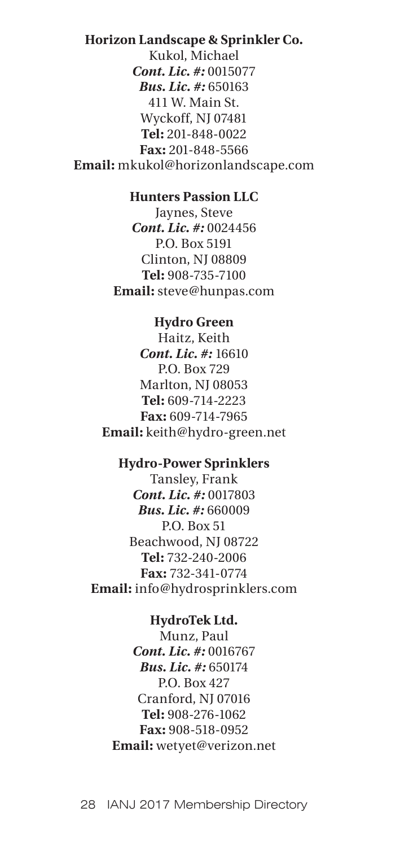# **Horizon Landscape & Sprinkler Co.** Kukol, Michael *Cont. Lic. #:* 0015077 *Bus. Lic. #:* 650163 411 W. Main St. Wyckoff, NJ 07481 **Tel:** 201-848-0022 **Fax:** 201-848-5566 **Email:** mkukol@horizonlandscape.com

## **Hunters Passion LLC**

Jaynes, Steve *Cont. Lic. #:* 0024456 P.O. Box 5191 Clinton, NJ 08809 **Tel:** 908-735-7100 **Email:** steve@hunpas.com

#### **Hydro Green**

Haitz, Keith *Cont. Lic. #:* 16610 P.O. Box 729 Marlton, NJ 08053 **Tel:** 609-714-2223 **Fax:** 609-714-7965 **Email:** keith@hydro-green.net

#### **Hydro-Power Sprinklers**

Tansley, Frank *Cont. Lic. #:* 0017803 *Bus. Lic. #:* 660009 P.O. Box 51 Beachwood, NJ 08722 **Tel:** 732-240-2006 **Fax:** 732-341-0774 **Email:** info@hydrosprinklers.com

#### **HydroTek Ltd.**

Munz, Paul *Cont. Lic. #:* 0016767 *Bus. Lic. #:* 650174 P.O. Box 427 Cranford, NJ 07016 **Tel:** 908-276-1062 **Fax:** 908-518-0952 **Email:** wetyet@verizon.net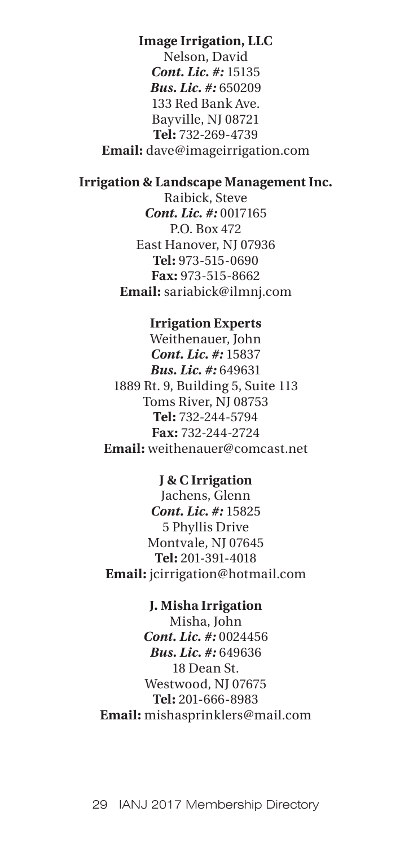# **Image Irrigation, LLC**

Nelson, David *Cont. Lic. #:* 15135 *Bus. Lic. #:* 650209 133 Red Bank Ave. Bayville, NJ 08721 **Tel:** 732-269-4739 **Email:** dave@imageirrigation.com

## **Irrigation & Landscape Management Inc.**

Raibick, Steve *Cont. Lic. #:* 0017165 P.O. Box 472 East Hanover, NJ 07936 **Tel:** 973-515-0690 **Fax:** 973-515-8662 **Email:** sariabick@ilmnj.com

#### **Irrigation Experts**

Weithenauer, John *Cont. Lic. #:* 15837 *Bus. Lic. #:* 649631 1889 Rt. 9, Building 5, Suite 113 Toms River, NJ 08753 **Tel:** 732-244-5794 **Fax:** 732-244-2724 **Email:** weithenauer@comcast.net

## **J & C Irrigation**

Jachens, Glenn *Cont. Lic. #:* 15825 5 Phyllis Drive Montvale, NJ 07645 **Tel:** 201-391-4018 **Email:** jcirrigation@hotmail.com

#### **J. Misha Irrigation**

Misha, John *Cont. Lic. #:* 0024456 *Bus. Lic. #:* 649636 18 Dean St. Westwood, NJ 07675 **Tel:** 201-666-8983 **Email:** mishasprinklers@mail.com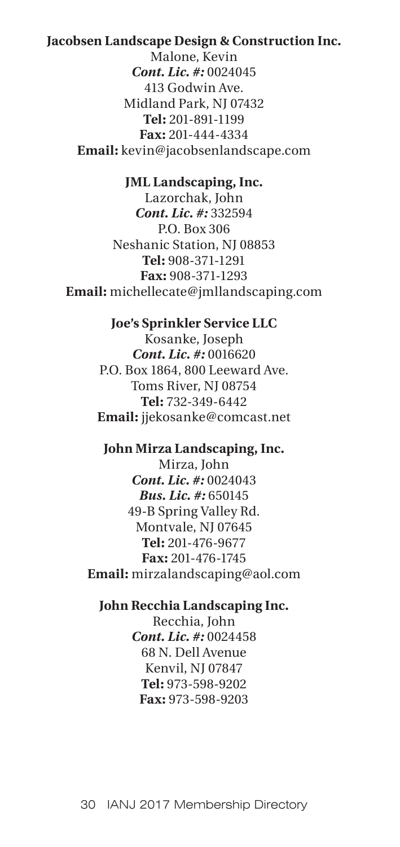## **Jacobsen Landscape Design & Construction Inc.**

Malone, Kevin *Cont. Lic. #:* 0024045 413 Godwin Ave. Midland Park, NJ 07432 **Tel:** 201-891-1199 **Fax:** 201-444-4334 **Email:** kevin@jacobsenlandscape.com

#### **JML Landscaping, Inc.**

Lazorchak, John *Cont. Lic. #:* 332594 P.O. Box 306 Neshanic Station, NJ 08853 **Tel:** 908-371-1291 **Fax:** 908-371-1293 **Email:** michellecate@jmllandscaping.com

#### **Joe's Sprinkler Service LLC**

Kosanke, Joseph *Cont. Lic. #:* 0016620 P.O. Box 1864, 800 Leeward Ave. Toms River, NJ 08754 **Tel:** 732-349-6442 **Email:** jjekosanke@comcast.net

#### **John Mirza Landscaping, Inc.**

Mirza, John *Cont. Lic. #:* 0024043 *Bus. Lic. #:* 650145 49-B Spring Valley Rd. Montvale, NJ 07645 **Tel:** 201-476-9677 **Fax:** 201-476-1745 **Email:** mirzalandscaping@aol.com

## **John Recchia Landscaping Inc.**

Recchia, John *Cont. Lic. #:* 0024458 68 N. Dell Avenue Kenvil, NJ 07847 **Tel:** 973-598-9202 **Fax:** 973-598-9203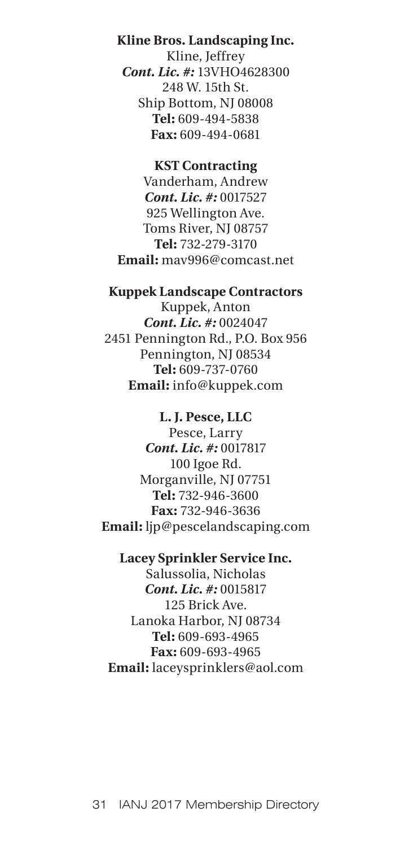## **Kline Bros. Landscaping Inc.**

Kline, Jeffrey *Cont. Lic. #:* 13VHO4628300 248 W. 15th St. Ship Bottom, NJ 08008 **Tel:** 609-494-5838 **Fax:** 609-494-0681

#### **KST Contracting**

Vanderham, Andrew *Cont. Lic. #:* 0017527 925 Wellington Ave. Toms River, NJ 08757 **Tel:** 732-279-3170 **Email:** mav996@comcast.net

### **Kuppek Landscape Contractors**

Kuppek, Anton *Cont. Lic. #:* 0024047 2451 Pennington Rd., P.O. Box 956 Pennington, NJ 08534 **Tel:** 609-737-0760 **Email:** info@kuppek.com

## **L. J. Pesce, LLC**

Pesce, Larry *Cont. Lic. #:* 0017817 100 Igoe Rd. Morganville, NJ 07751 **Tel:** 732-946-3600 **Fax:** 732-946-3636 **Email:** ljp@pescelandscaping.com

## **Lacey Sprinkler Service Inc.**

Salussolia, Nicholas *Cont. Lic. #:* 0015817 125 Brick Ave. Lanoka Harbor, NJ 08734 **Tel:** 609-693-4965 **Fax:** 609-693-4965 **Email:** laceysprinklers@aol.com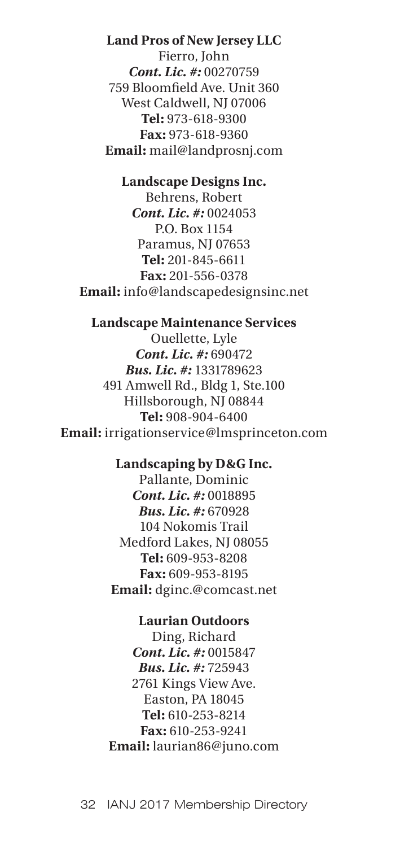## **Land Pros of New Jersey LLC**

Fierro, John *Cont. Lic. #:* 00270759 759 Bloomfield Ave. Unit 360 West Caldwell, NJ 07006 **Tel:** 973-618-9300 **Fax:** 973-618-9360 **Email:** mail@landprosnj.com

#### **Landscape Designs Inc.**

Behrens, Robert *Cont. Lic. #:* 0024053 P.O. Box 1154 Paramus, NJ 07653 **Tel:** 201-845-6611 **Fax:** 201-556-0378 **Email:** info@landscapedesignsinc.net

#### **Landscape Maintenance Services**

Ouellette, Lyle *Cont. Lic. #:* 690472 *Bus. Lic. #:* 1331789623 491 Amwell Rd., Bldg 1, Ste.100 Hillsborough, NJ 08844 **Tel:** 908-904-6400 **Email:** irrigationservice@lmsprinceton.com

#### **Landscaping by D&G Inc.**

Pallante, Dominic *Cont. Lic. #:* 0018895 *Bus. Lic. #:* 670928 104 Nokomis Trail Medford Lakes, NJ 08055 **Tel:** 609-953-8208 **Fax:** 609-953-8195 **Email:** dginc.@comcast.net

#### **Laurian Outdoors**

Ding, Richard *Cont. Lic. #:* 0015847 *Bus. Lic. #:* 725943 2761 Kings View Ave. Easton, PA 18045 **Tel:** 610-253-8214 **Fax:** 610-253-9241 **Email:** laurian86@juno.com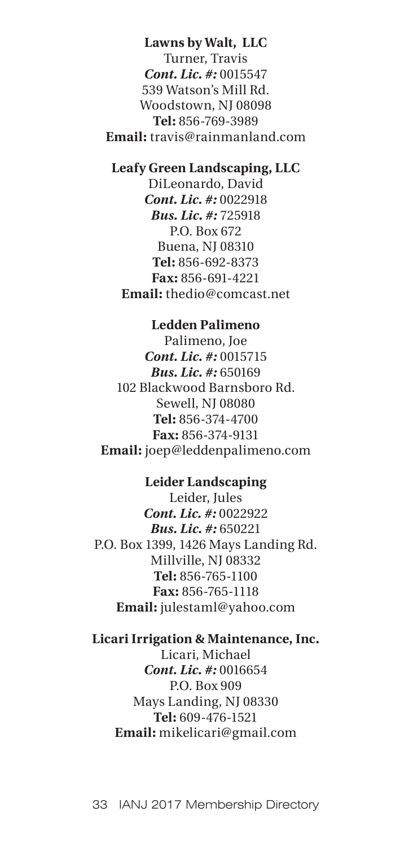**Lawns by Walt, LLC** Turner, Travis *Cont. Lic. #:* 0015547 539 Watson's Mill Rd. Woodstown, NJ 08098 **Tel:** 856-769-3989 **Email:** travis@rainmanland.com

## **Leafy Green Landscaping, LLC**

DiLeonardo, David *Cont. Lic. #:* 0022918 *Bus. Lic. #:* 725918 P.O. Box 672 Buena, NJ 08310 **Tel:** 856-692-8373 **Fax:** 856-691-4221 **Email:** thedio@comcast.net

# **Ledden Palimeno**

Palimeno, Joe *Cont. Lic. #:* 0015715 *Bus. Lic. #:* 650169 102 Blackwood Barnsboro Rd. Sewell, NJ 08080 **Tel:** 856-374-4700 **Fax:** 856-374-9131 **Email:** joep@leddenpalimeno.com

## **Leider Landscaping**

Leider, Jules *Cont. Lic. #:* 0022922 *Bus. Lic. #:* 650221 P.O. Box 1399, 1426 Mays Landing Rd. Millville, NJ 08332 **Tel:** 856-765-1100 **Fax:** 856-765-1118 **Email:** julestaml@yahoo.com

## **Licari Irrigation & Maintenance, Inc.**

Licari, Michael *Cont. Lic. #:* 0016654 P.O. Box 909 Mays Landing, NJ 08330 **Tel:** 609-476-1521 **Email:** mikelicari@gmail.com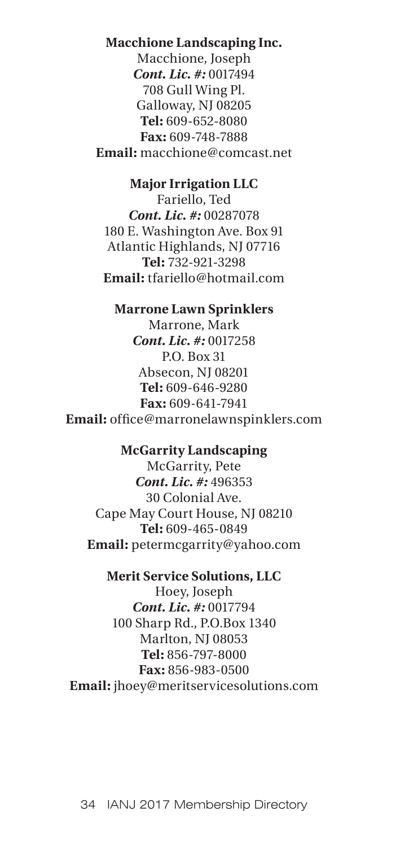## **Macchione Landscaping Inc.**

Macchione, Joseph *Cont. Lic. #:* 0017494 708 Gull Wing Pl. Galloway, NJ 08205 **Tel:** 609-652-8080 **Fax:** 609-748-7888 **Email:** macchione@comcast.net

## **Major Irrigation LLC**

Fariello, Ted *Cont. Lic. #:* 00287078 180 E. Washington Ave. Box 91 Atlantic Highlands, NJ 07716 **Tel:** 732-921-3298 **Email:** tfariello@hotmail.com

## **Marrone Lawn Sprinklers**

Marrone, Mark *Cont. Lic. #:* 0017258 P.O. Box 31 Absecon, NJ 08201 **Tel:** 609-646-9280 **Fax:** 609-641-7941 **Email:** office@marronelawnspinklers.com

## **McGarrity Landscaping**

McGarrity, Pete *Cont. Lic. #:* 496353 30 Colonial Ave. Cape May Court House, NJ 08210 **Tel:** 609-465-0849 **Email:** petermcgarrity@yahoo.com

## **Merit Service Solutions, LLC**

Hoey, Joseph *Cont. Lic. #:* 0017794 100 Sharp Rd., P.O.Box 1340 Marlton, NJ 08053 **Tel:** 856-797-8000 **Fax:** 856-983-0500 **Email:** jhoey@meritservicesolutions.com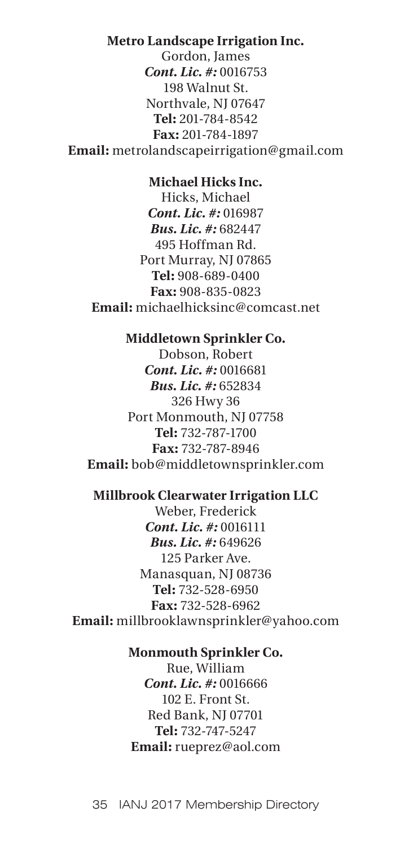## **Metro Landscape Irrigation Inc.**

Gordon, James *Cont. Lic. #:* 0016753 198 Walnut St. Northvale, NJ 07647 **Tel:** 201-784-8542 **Fax:** 201-784-1897 **Email:** metrolandscapeirrigation@gmail.com

#### **Michael Hicks Inc.**

Hicks, Michael *Cont. Lic. #:* 016987 *Bus. Lic. #:* 682447 495 Hoffman Rd. Port Murray, NJ 07865 **Tel:** 908-689-0400 **Fax:** 908-835-0823 **Email:** michaelhicksinc@comcast.net

## **Middletown Sprinkler Co.**

Dobson, Robert *Cont. Lic. #:* 0016681 *Bus. Lic. #:* 652834 326 Hwy 36 Port Monmouth, NJ 07758 **Tel:** 732-787-1700 **Fax:** 732-787-8946 **Email:** bob@middletownsprinkler.com

## **Millbrook Clearwater Irrigation LLC**

Weber, Frederick *Cont. Lic. #:* 0016111 *Bus. Lic. #:* 649626 125 Parker Ave. Manasquan, NJ 08736 **Tel:** 732-528-6950 **Fax:** 732-528-6962 **Email:** millbrooklawnsprinkler@yahoo.com

# **Monmouth Sprinkler Co.**

Rue, William *Cont. Lic. #:* 0016666 102 E. Front St. Red Bank, NJ 07701 **Tel:** 732-747-5247 **Email:** rueprez@aol.com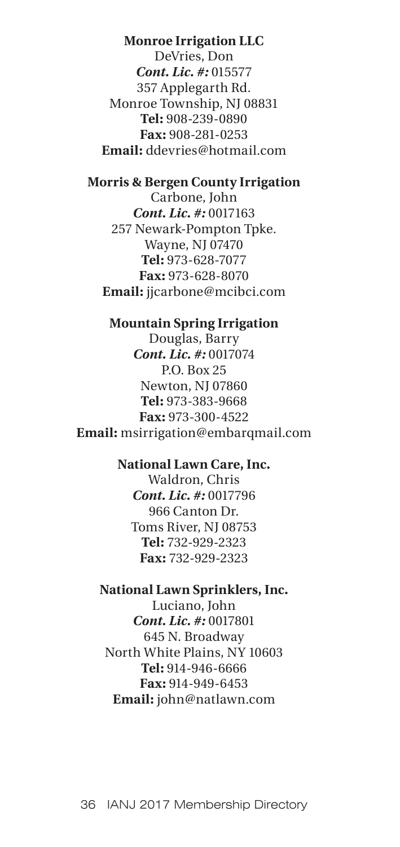## **Monroe Irrigation LLC**

DeVries, Don *Cont. Lic. #:* 015577 357 Applegarth Rd. Monroe Township, NJ 08831 **Tel:** 908-239-0890 **Fax:** 908-281-0253 **Email:** ddevries@hotmail.com

## **Morris & Bergen County Irrigation**

Carbone, John *Cont. Lic. #:* 0017163 257 Newark-Pompton Tpke. Wayne, NJ 07470 **Tel:** 973-628-7077 **Fax:** 973-628-8070 **Email:** jjcarbone@mcibci.com

#### **Mountain Spring Irrigation**

Douglas, Barry *Cont. Lic. #:* 0017074 P.O. Box 25 Newton, NJ 07860 **Tel:** 973-383-9668 **Fax:** 973-300-4522 **Email:** msirrigation@embarqmail.com

#### **National Lawn Care, Inc.**

Waldron, Chris *Cont. Lic. #:* 0017796 966 Canton Dr. Toms River, NJ 08753 **Tel:** 732-929-2323 **Fax:** 732-929-2323

## **National Lawn Sprinklers, Inc.**

Luciano, John *Cont. Lic. #:* 0017801 645 N. Broadway North White Plains, NY 10603 **Tel:** 914-946-6666 **Fax:** 914-949-6453 **Email:** john@natlawn.com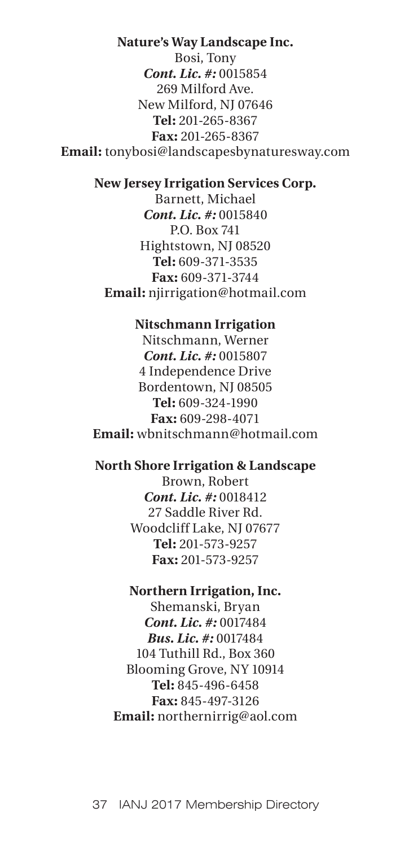#### **Nature's Way Landscape Inc.**

Bosi, Tony *Cont. Lic. #:* 0015854 269 Milford Ave. New Milford, NJ 07646 **Tel:** 201-265-8367 **Fax:** 201-265-8367 **Email:** tonybosi@landscapesbynaturesway.com

#### **New Jersey Irrigation Services Corp.**

Barnett, Michael *Cont. Lic. #:* 0015840 P.O. Box 741 Hightstown, NJ 08520 **Tel:** 609-371-3535 **Fax:** 609-371-3744 **Email:** njirrigation@hotmail.com

#### **Nitschmann Irrigation**

Nitschmann, Werner *Cont. Lic. #:* 0015807 4 Independence Drive Bordentown, NJ 08505 **Tel:** 609-324-1990 **Fax:** 609-298-4071 **Email:** wbnitschmann@hotmail.com

#### **North Shore Irrigation & Landscape**

Brown, Robert *Cont. Lic. #:* 0018412 27 Saddle River Rd. Woodcliff Lake, NJ 07677 **Tel:** 201-573-9257 **Fax:** 201-573-9257

#### **Northern Irrigation, Inc.**

Shemanski, Bryan *Cont. Lic. #:* 0017484 *Bus. Lic. #:* 0017484 104 Tuthill Rd., Box 360 Blooming Grove, NY 10914 **Tel:** 845-496-6458 **Fax:** 845-497-3126 **Email:** northernirrig@aol.com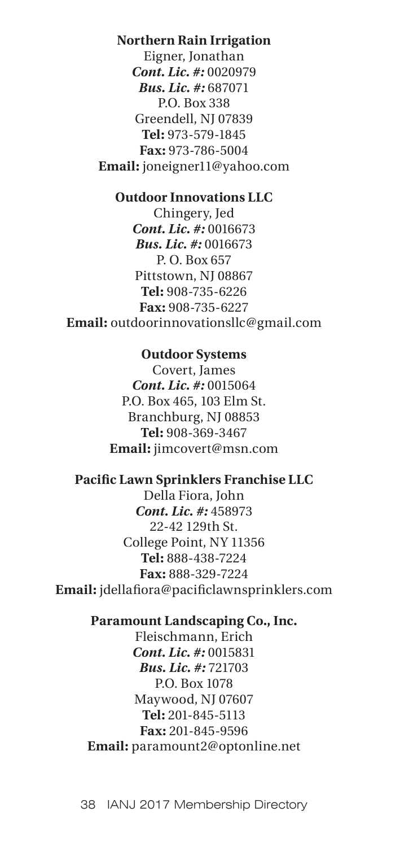## **Northern Rain Irrigation**

Eigner, Jonathan *Cont. Lic. #:* 0020979 *Bus. Lic. #:* 687071 P.O. Box 338 Greendell, NJ 07839 **Tel:** 973-579-1845 **Fax:** 973-786-5004 **Email:** joneigner11@yahoo.com

## **Outdoor Innovations LLC**

Chingery, Jed *Cont. Lic. #:* 0016673 *Bus. Lic. #:* 0016673 P. O. Box 657 Pittstown, NJ 08867 **Tel:** 908-735-6226 **Fax:** 908-735-6227 **Email:** outdoorinnovationsllc@gmail.com

#### **Outdoor Systems**

Covert, James *Cont. Lic. #:* 0015064 P.O. Box 465, 103 Elm St. Branchburg, NJ 08853 **Tel:** 908-369-3467 **Email:** jimcovert@msn.com

#### **Pacific Lawn Sprinklers Franchise LLC**

Della Fiora, John *Cont. Lic. #:* 458973 22-42 129th St. College Point, NY 11356 **Tel:** 888-438-7224 **Fax:** 888-329-7224 **Email:** jdellafiora@pacificlawnsprinklers.com

## **Paramount Landscaping Co., Inc.**

Fleischmann, Erich *Cont. Lic. #:* 0015831 *Bus. Lic. #:* 721703 P.O. Box 1078 Maywood, NJ 07607 **Tel:** 201-845-5113 **Fax:** 201-845-9596 **Email:** paramount2@optonline.net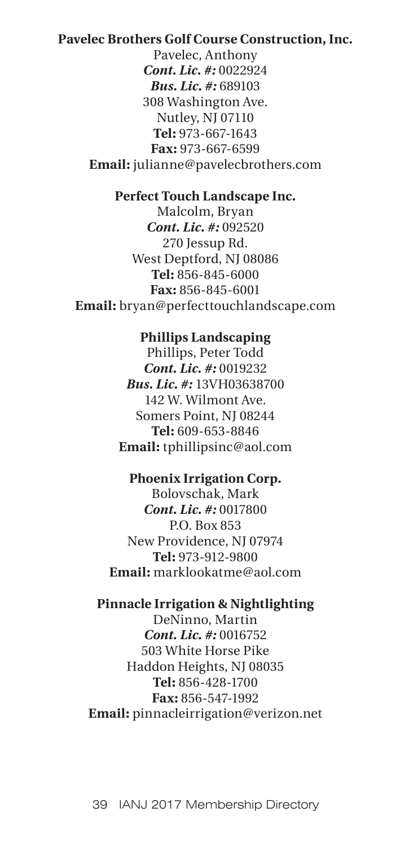# **Pavelec Brothers Golf Course Construction, Inc.**

Pavelec, Anthony *Cont. Lic. #:* 0022924 *Bus. Lic. #:* 689103 308 Washington Ave. Nutley, NJ 07110 **Tel:** 973-667-1643 **Fax:** 973-667-6599 **Email:** julianne@pavelecbrothers.com

# **Perfect Touch Landscape Inc.**

Malcolm, Bryan *Cont. Lic. #:* 092520 270 Jessup Rd. West Deptford, NJ 08086 **Tel:** 856-845-6000 **Fax:** 856-845-6001 **Email:** bryan@perfecttouchlandscape.com

## **Phillips Landscaping**

Phillips, Peter Todd *Cont. Lic. #:* 0019232 *Bus. Lic. #:* 13VH03638700 142 W. Wilmont Ave. Somers Point, NJ 08244 **Tel:** 609-653-8846 **Email:** tphillipsinc@aol.com

#### **Phoenix Irrigation Corp.**

Bolovschak, Mark *Cont. Lic. #:* 0017800 P.O. Box 853 New Providence, NJ 07974 **Tel:** 973-912-9800 **Email:** marklookatme@aol.com

#### **Pinnacle Irrigation & Nightlighting**

DeNinno, Martin *Cont. Lic. #:* 0016752 503 White Horse Pike Haddon Heights, NJ 08035 **Tel:** 856-428-1700 **Fax:** 856-547-1992 **Email:** pinnacleirrigation@verizon.net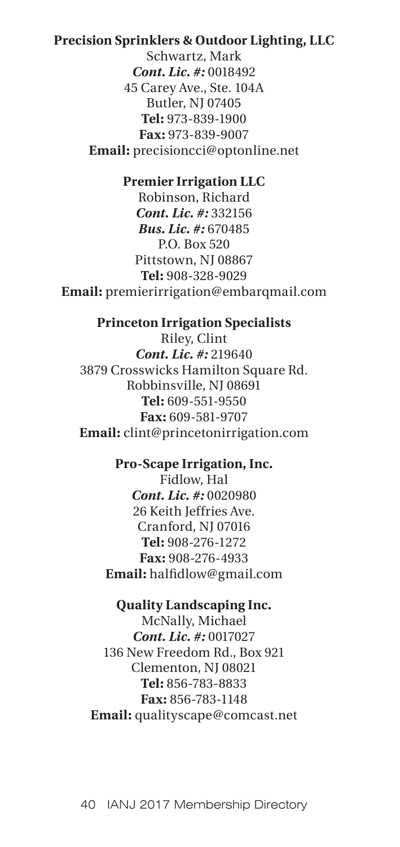# **Precision Sprinklers & Outdoor Lighting, LLC**

Schwartz, Mark *Cont. Lic. #:* 0018492 45 Carey Ave., Ste. 104A Butler, NJ 07405 **Tel:** 973-839-1900 **Fax:** 973-839-9007 **Email:** precisioncci@optonline.net

#### **Premier Irrigation LLC**

Robinson, Richard *Cont. Lic. #:* 332156 *Bus. Lic. #:* 670485 P.O. Box 520 Pittstown, NJ 08867 **Tel:** 908-328-9029 **Email:** premierirrigation@embarqmail.com

## **Princeton Irrigation Specialists**

Riley, Clint *Cont. Lic. #:* 219640 3879 Crosswicks Hamilton Square Rd. Robbinsville, NJ 08691 **Tel:** 609-551-9550 **Fax:** 609-581-9707 **Email:** clint@princetonirrigation.com

## **Pro-Scape Irrigation, Inc.**

Fidlow, Hal *Cont. Lic. #:* 0020980 26 Keith Jeffries Ave. Cranford, NJ 07016 **Tel:** 908-276-1272 **Fax:** 908-276-4933 **Email:** halfidlow@gmail.com

#### **Quality Landscaping Inc.**

McNally, Michael *Cont. Lic. #:* 0017027 136 New Freedom Rd., Box 921 Clementon, NJ 08021 **Tel:** 856-783-8833 **Fax:** 856-783-1148 **Email:** qualityscape@comcast.net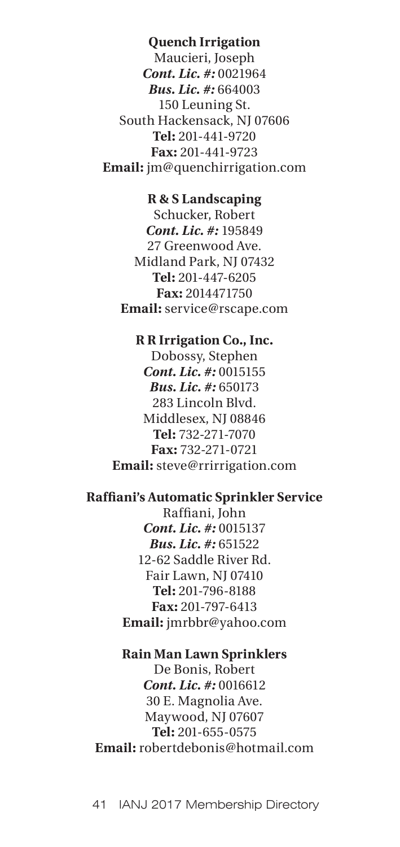## **Quench Irrigation**

Maucieri, Joseph *Cont. Lic. #:* 0021964 *Bus. Lic. #:* 664003 150 Leuning St. South Hackensack, NJ 07606 **Tel:** 201-441-9720 **Fax:** 201-441-9723 **Email:** jm@quenchirrigation.com

## **R & S Landscaping**

Schucker, Robert *Cont. Lic. #:* 195849 27 Greenwood Ave. Midland Park, NJ 07432 **Tel:** 201-447-6205 **Fax:** 2014471750 **Email:** service@rscape.com

### **R R Irrigation Co., Inc.**

Dobossy, Stephen *Cont. Lic. #:* 0015155 *Bus. Lic. #:* 650173 283 Lincoln Blvd. Middlesex, NJ 08846 **Tel:** 732-271-7070 **Fax:** 732-271-0721 **Email:** steve@rrirrigation.com

# **Raffiani's Automatic Sprinkler Service**

Raffiani, John *Cont. Lic. #:* 0015137 *Bus. Lic. #:* 651522 12-62 Saddle River Rd. Fair Lawn, NJ 07410 **Tel:** 201-796-8188 **Fax:** 201-797-6413 **Email:** jmrbbr@yahoo.com

# **Rain Man Lawn Sprinklers** De Bonis, Robert *Cont. Lic. #:* 0016612 30 E. Magnolia Ave. Maywood, NJ 07607 **Tel:** 201-655-0575 **Email:** robertdebonis@hotmail.com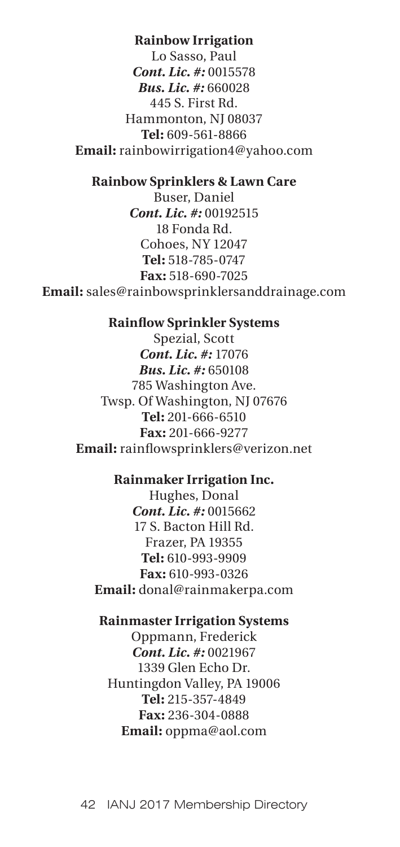## **Rainbow Irrigation**

Lo Sasso, Paul *Cont. Lic. #:* 0015578 *Bus. Lic. #:* 660028 445 S. First Rd. Hammonton, NJ 08037 **Tel:** 609-561-8866 **Email:** rainbowirrigation4@yahoo.com

#### **Rainbow Sprinklers & Lawn Care**

Buser, Daniel *Cont. Lic. #:* 00192515 18 Fonda Rd. Cohoes, NY 12047 **Tel:** 518-785-0747 **Fax:** 518-690-7025 **Email:** sales@rainbowsprinklersanddrainage.com

#### **Rainflow Sprinkler Systems**

Spezial, Scott *Cont. Lic. #:* 17076 *Bus. Lic. #:* 650108 785 Washington Ave. Twsp. Of Washington, NJ 07676 **Tel:** 201-666-6510 **Fax:** 201-666-9277 **Email:** rainflowsprinklers@verizon.net

#### **Rainmaker Irrigation Inc.**

Hughes, Donal *Cont. Lic. #:* 0015662 17 S. Bacton Hill Rd. Frazer, PA 19355 **Tel:** 610-993-9909 **Fax:** 610-993-0326 **Email:** donal@rainmakerpa.com

## **Rainmaster Irrigation Systems**

Oppmann, Frederick *Cont. Lic. #:* 0021967 1339 Glen Echo Dr. Huntingdon Valley, PA 19006 **Tel:** 215-357-4849 **Fax:** 236-304-0888 **Email:** oppma@aol.com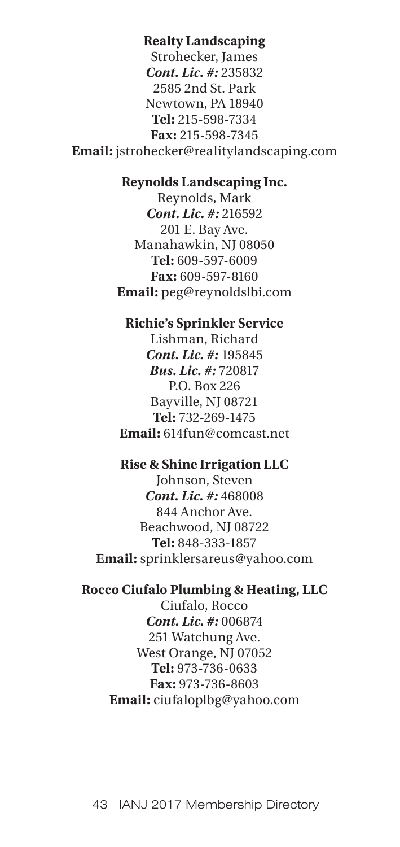# **Realty Landscaping**

Strohecker, James *Cont. Lic. #:* 235832 2585 2nd St. Park Newtown, PA 18940 **Tel:** 215-598-7334 **Fax:** 215-598-7345 **Email:** jstrohecker@realitylandscaping.com

#### **Reynolds Landscaping Inc.**

Reynolds, Mark *Cont. Lic. #:* 216592 201 E. Bay Ave. Manahawkin, NJ 08050 **Tel:** 609-597-6009 **Fax:** 609-597-8160 **Email:** peg@reynoldslbi.com

#### **Richie's Sprinkler Service**

Lishman, Richard *Cont. Lic. #:* 195845 *Bus. Lic. #:* 720817 P.O. Box 226 Bayville, NJ 08721 **Tel:** 732-269-1475 **Email:** 614fun@comcast.net

#### **Rise & Shine Irrigation LLC**

Johnson, Steven *Cont. Lic. #:* 468008 844 Anchor Ave. Beachwood, NJ 08722 **Tel:** 848-333-1857 **Email:** sprinklersareus@yahoo.com

#### **Rocco Ciufalo Plumbing & Heating, LLC**

Ciufalo, Rocco *Cont. Lic. #:* 006874 251 Watchung Ave. West Orange, NJ 07052 **Tel:** 973-736-0633 **Fax:** 973-736-8603 **Email:** ciufaloplbg@yahoo.com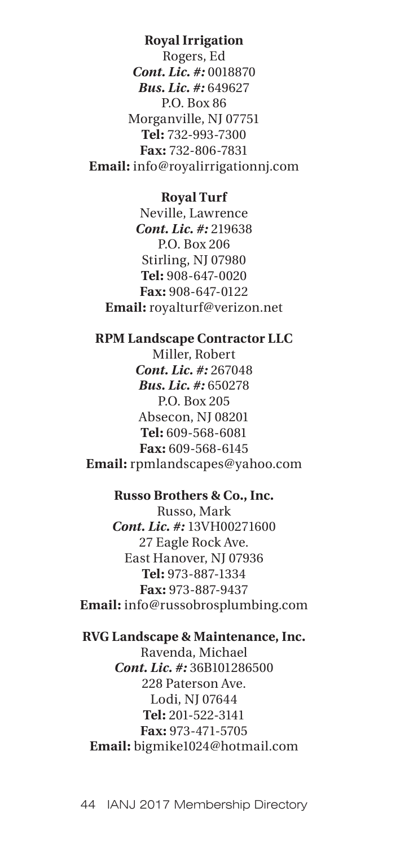#### **Royal Irrigation**

Rogers, Ed *Cont. Lic. #:* 0018870 *Bus. Lic. #:* 649627 P.O. Box 86 Morganville, NJ 07751 **Tel:** 732-993-7300 **Fax:** 732-806-7831 **Email:** info@royalirrigationnj.com

## **Royal Turf**

Neville, Lawrence *Cont. Lic. #:* 219638 P.O. Box 206 Stirling, NJ 07980 **Tel:** 908-647-0020 **Fax:** 908-647-0122 **Email:** royalturf@verizon.net

# **RPM Landscape Contractor LLC**

Miller, Robert *Cont. Lic. #:* 267048 *Bus. Lic. #:* 650278 P.O. Box 205 Absecon, NJ 08201 **Tel:** 609-568-6081 **Fax:** 609-568-6145 **Email:** rpmlandscapes@yahoo.com

## **Russo Brothers & Co., Inc.**

Russo, Mark *Cont. Lic. #:* 13VH00271600 27 Eagle Rock Ave. East Hanover, NJ 07936 **Tel:** 973-887-1334 **Fax:** 973-887-9437 **Email:** info@russobrosplumbing.com

# **RVG Landscape & Maintenance, Inc.** Ravenda, Michael *Cont. Lic. #:* 36B101286500 228 Paterson Ave. Lodi, NJ 07644 **Tel:** 201-522-3141 **Fax:** 973-471-5705 **Email:** bigmike1024@hotmail.com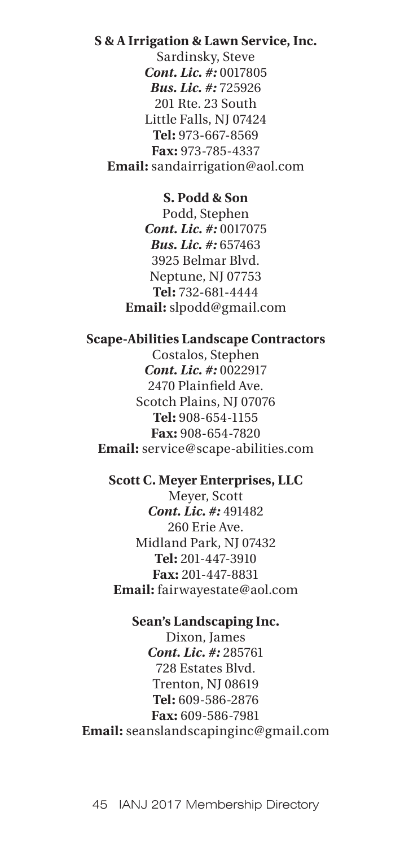# **S & A Irrigation & Lawn Service, Inc.**

Sardinsky, Steve *Cont. Lic. #:* 0017805 *Bus. Lic. #:* 725926 201 Rte. 23 South Little Falls, NJ 07424 **Tel:** 973-667-8569 **Fax:** 973-785-4337 **Email:** sandairrigation@aol.com

#### **S. Podd & Son**

Podd, Stephen *Cont. Lic. #:* 0017075 *Bus. Lic. #:* 657463 3925 Belmar Blvd. Neptune, NJ 07753 **Tel:** 732-681-4444 **Email:** slpodd@gmail.com

## **Scape-Abilities Landscape Contractors**

Costalos, Stephen *Cont. Lic. #:* 0022917 2470 Plainfield Ave. Scotch Plains, NJ 07076 **Tel:** 908-654-1155 **Fax:** 908-654-7820 **Email:** service@scape-abilities.com

#### **Scott C. Meyer Enterprises, LLC**

Meyer, Scott *Cont. Lic. #:* 491482 260 Erie Ave. Midland Park, NJ 07432 **Tel:** 201-447-3910 **Fax:** 201-447-8831 **Email:** fairwayestate@aol.com

#### **Sean's Landscaping Inc.**

Dixon, James *Cont. Lic. #:* 285761 728 Estates Blvd. Trenton, NJ 08619 **Tel:** 609-586-2876 **Fax:** 609-586-7981 **Email:** seanslandscapinginc@gmail.com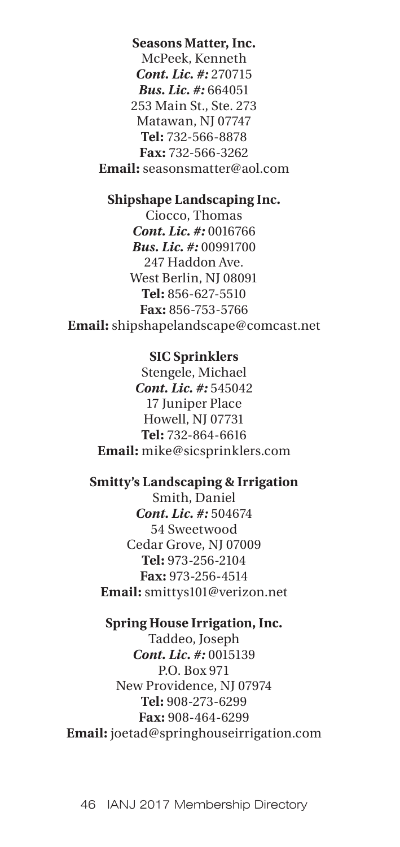**Seasons Matter, Inc.** McPeek, Kenneth *Cont. Lic. #:* 270715 *Bus. Lic. #:* 664051 253 Main St., Ste. 273 Matawan, NJ 07747 **Tel:** 732-566-8878 **Fax:** 732-566-3262 **Email:** seasonsmatter@aol.com

# **Shipshape Landscaping Inc.**

Ciocco, Thomas *Cont. Lic. #:* 0016766 *Bus. Lic. #:* 00991700 247 Haddon Ave. West Berlin, NJ 08091 **Tel:** 856-627-5510 **Fax:** 856-753-5766 **Email:** shipshapelandscape@comcast.net

## **SIC Sprinklers**

Stengele, Michael *Cont. Lic. #:* 545042 17 Juniper Place Howell, NJ 07731 **Tel:** 732-864-6616 **Email:** mike@sicsprinklers.com

# **Smitty's Landscaping & Irrigation**

Smith, Daniel *Cont. Lic. #:* 504674 54 Sweetwood Cedar Grove, NJ 07009 **Tel:** 973-256-2104 **Fax:** 973-256-4514 **Email:** smittys101@verizon.net

## **Spring House Irrigation, Inc.**

Taddeo, Joseph *Cont. Lic. #:* 0015139 P.O. Box 971 New Providence, NJ 07974 **Tel:** 908-273-6299 **Fax:** 908-464-6299 **Email:** joetad@springhouseirrigation.com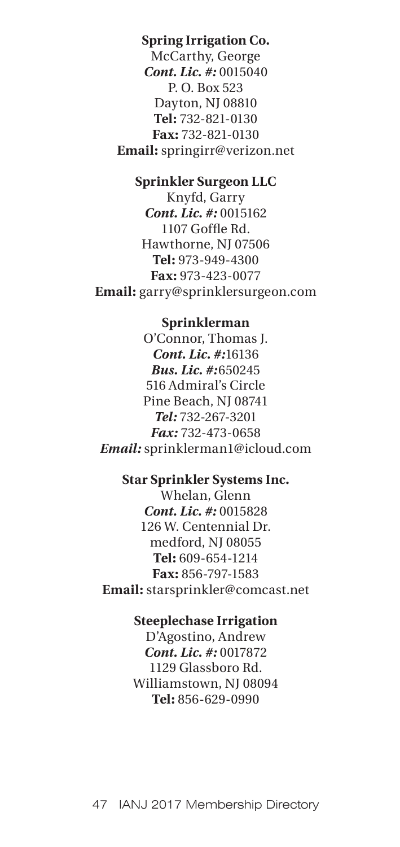# **Spring Irrigation Co.**

McCarthy, George *Cont. Lic. #:* 0015040 P. O. Box 523 Dayton, NJ 08810 **Tel:** 732-821-0130 **Fax:** 732-821-0130 **Email:** springirr@verizon.net

#### **Sprinkler Surgeon LLC**

Knyfd, Garry *Cont. Lic. #:* 0015162 1107 Goffle Rd. Hawthorne, NJ 07506 **Tel:** 973-949-4300 **Fax:** 973-423-0077 **Email:** garry@sprinklersurgeon.com

#### **Sprinklerman**

O'Connor, Thomas J. *Cont. Lic. #:*16136 *Bus. Lic. #:*650245 516 Admiral's Circle Pine Beach, NJ 08741 *Tel:* 732-267-3201 *Fax:* 732-473-0658 *Email:* sprinklerman1@icloud.com

## **Star Sprinkler Systems Inc.**

Whelan, Glenn *Cont. Lic. #:* 0015828 126 W. Centennial Dr. medford, NJ 08055 **Tel:** 609-654-1214 **Fax:** 856-797-1583 **Email:** starsprinkler@comcast.net

# **Steeplechase Irrigation**

D'Agostino, Andrew *Cont. Lic. #:* 0017872 1129 Glassboro Rd. Williamstown, NJ 08094 **Tel:** 856-629-0990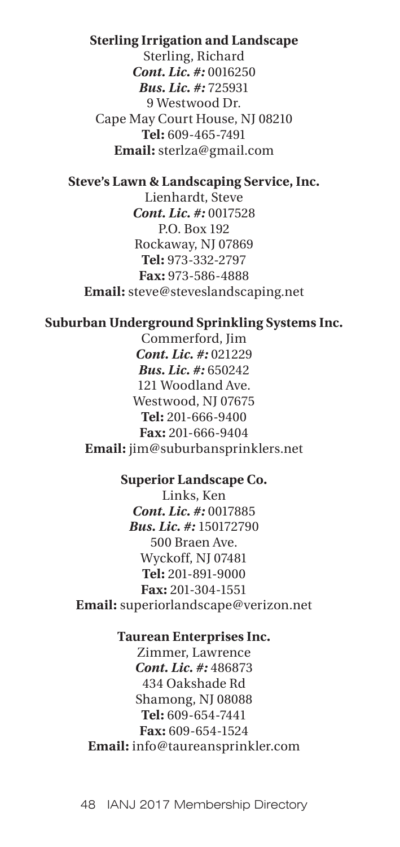#### **Sterling Irrigation and Landscape**

Sterling, Richard *Cont. Lic. #:* 0016250 *Bus. Lic. #:* 725931 9 Westwood Dr. Cape May Court House, NJ 08210 **Tel:** 609-465-7491 **Email:** sterlza@gmail.com

#### **Steve's Lawn & Landscaping Service, Inc.**

Lienhardt, Steve *Cont. Lic. #:* 0017528 P.O. Box 192 Rockaway, NJ 07869 **Tel:** 973-332-2797 **Fax:** 973-586-4888 **Email:** steve@steveslandscaping.net

#### **Suburban Underground Sprinkling Systems Inc.**

Commerford, Jim *Cont. Lic. #:* 021229 *Bus. Lic. #:* 650242 121 Woodland Ave. Westwood, NJ 07675 **Tel:** 201-666-9400 **Fax:** 201-666-9404 **Email:** jim@suburbansprinklers.net

## **Superior Landscape Co.**

Links, Ken *Cont. Lic. #:* 0017885 *Bus. Lic. #:* 150172790 500 Braen Ave. Wyckoff, NJ 07481 **Tel:** 201-891-9000 **Fax:** 201-304-1551 **Email:** superiorlandscape@verizon.net

#### **Taurean Enterprises Inc.**

Zimmer, Lawrence *Cont. Lic. #:* 486873 434 Oakshade Rd Shamong, NJ 08088 **Tel:** 609-654-7441 **Fax:** 609-654-1524 **Email:** info@taureansprinkler.com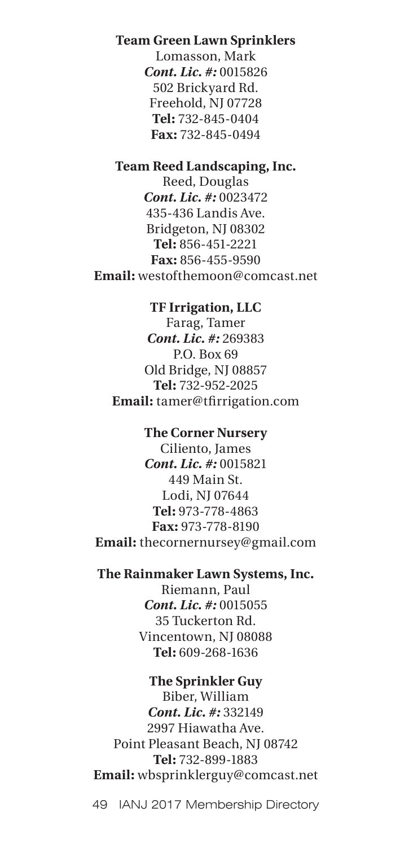# **Team Green Lawn Sprinklers**

Lomasson, Mark *Cont. Lic. #:* 0015826 502 Brickyard Rd. Freehold, NJ 07728 **Tel:** 732-845-0404 **Fax:** 732-845-0494

## **Team Reed Landscaping, Inc.**

Reed, Douglas *Cont. Lic. #:* 0023472 435-436 Landis Ave. Bridgeton, NJ 08302 **Tel:** 856-451-2221 **Fax:** 856-455-9590 **Email:** westofthemoon@comcast.net

## **TF Irrigation, LLC**

Farag, Tamer *Cont. Lic. #:* 269383 P.O. Box 69 Old Bridge, NJ 08857 **Tel:** 732-952-2025 **Email:** tamer@tfirrigation.com

## **The Corner Nursery**

Ciliento, James *Cont. Lic. #:* 0015821 449 Main St. Lodi, NJ 07644 **Tel:** 973-778-4863 **Fax:** 973-778-8190 **Email:** thecornernursey@gmail.com

# **The Rainmaker Lawn Systems, Inc.**

Riemann, Paul *Cont. Lic. #:* 0015055 35 Tuckerton Rd. Vincentown, NJ 08088 **Tel:** 609-268-1636

## **The Sprinkler Guy**

Biber, William *Cont. Lic. #:* 332149 2997 Hiawatha Ave. Point Pleasant Beach, NJ 08742 **Tel:** 732-899-1883 **Email:** wbsprinklerguy@comcast.net

49 IANJ 2017 Membership Directory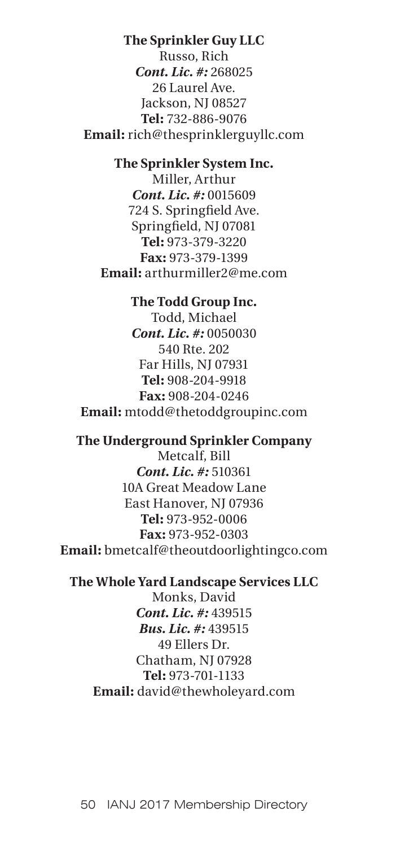#### **The Sprinkler Guy LLC**

Russo, Rich *Cont. Lic. #:* 268025 26 Laurel Ave. Jackson, NJ 08527 **Tel:** 732-886-9076 **Email:** rich@thesprinklerguyllc.com

# **The Sprinkler System Inc.**

Miller, Arthur *Cont. Lic. #:* 0015609 724 S. Springfield Ave. Springfield, NJ 07081 **Tel:** 973-379-3220 **Fax:** 973-379-1399 **Email:** arthurmiller2@me.com

#### **The Todd Group Inc.**

Todd, Michael *Cont. Lic. #:* 0050030 540 Rte. 202 Far Hills, NJ 07931 **Tel:** 908-204-9918 **Fax:** 908-204-0246 **Email:** mtodd@thetoddgroupinc.com

## **The Underground Sprinkler Company**

Metcalf, Bill *Cont. Lic. #:* 510361 10A Great Meadow Lane East Hanover, NJ 07936 **Tel:** 973-952-0006 **Fax:** 973-952-0303 **Email:** bmetcalf@theoutdoorlightingco.com

#### **The Whole Yard Landscape Services LLC**

Monks, David *Cont. Lic. #:* 439515 *Bus. Lic. #:* 439515 49 Ellers Dr. Chatham, NJ 07928 **Tel:** 973-701-1133 **Email:** david@thewholeyard.com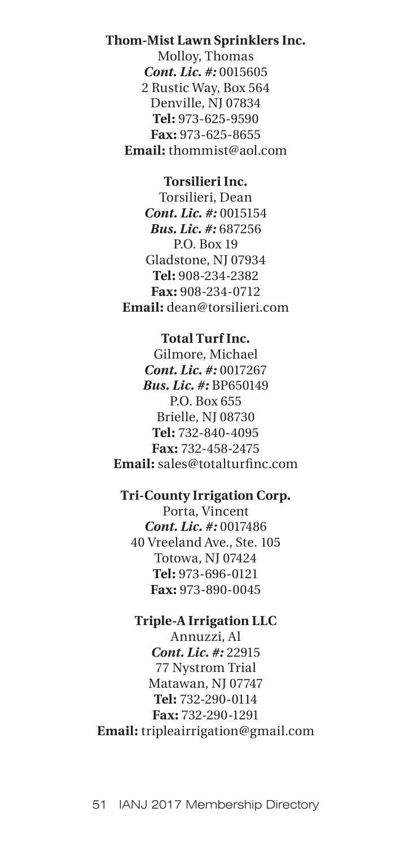## **Thom-Mist Lawn Sprinklers Inc.**

Molloy, Thomas *Cont. Lic. #:* 0015605 2 Rustic Way, Box 564 Denville, NJ 07834 **Tel:** 973-625-9590 **Fax:** 973-625-8655 **Email:** thommist@aol.com

## **Torsilieri Inc.**

Torsilieri, Dean *Cont. Lic. #:* 0015154 *Bus. Lic. #:* 687256 P.O. Box 19 Gladstone, NJ 07934 **Tel:** 908-234-2382 **Fax:** 908-234-0712 **Email:** dean@torsilieri.com

# **Total Turf Inc.**

Gilmore, Michael *Cont. Lic. #:* 0017267 *Bus. Lic. #:* BP650149 P.O. Box 655 Brielle, NJ 08730 **Tel:** 732-840-4095 **Fax:** 732-458-2475 **Email:** sales@totalturfinc.com

## **Tri-County Irrigation Corp.**

Porta, Vincent *Cont. Lic. #:* 0017486 40 Vreeland Ave., Ste. 105 Totowa, NJ 07424 **Tel:** 973-696-0121 **Fax:** 973-890-0045

# **Triple-A Irrigation LLC**

Annuzzi, Al *Cont. Lic. #:* 22915 77 Nystrom Trial Matawan, NJ 07747 **Tel:** 732-290-0114 **Fax:** 732-290-1291 **Email:** tripleairrigation@gmail.com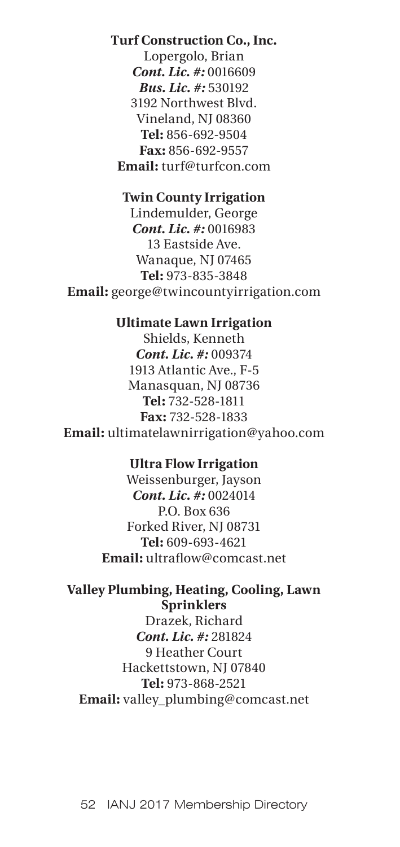## **Turf Construction Co., Inc.**

Lopergolo, Brian *Cont. Lic. #:* 0016609 *Bus. Lic. #:* 530192 3192 Northwest Blvd. Vineland, NJ 08360 **Tel:** 856-692-9504 **Fax:** 856-692-9557 **Email:** turf@turfcon.com

## **Twin County Irrigation**

Lindemulder, George *Cont. Lic. #:* 0016983 13 Eastside Ave. Wanaque, NJ 07465 **Tel:** 973-835-3848 **Email:** george@twincountyirrigation.com

#### **Ultimate Lawn Irrigation**

Shields, Kenneth *Cont. Lic. #:* 009374 1913 Atlantic Ave., F-5 Manasquan, NJ 08736 **Tel:** 732-528-1811 **Fax:** 732-528-1833 **Email:** ultimatelawnirrigation@yahoo.com

## **Ultra Flow Irrigation**

Weissenburger, Jayson *Cont. Lic. #:* 0024014 P.O. Box 636 Forked River, NJ 08731 **Tel:** 609-693-4621 **Email:** ultraflow@comcast.net

# **Valley Plumbing, Heating, Cooling, Lawn Sprinklers**

Drazek, Richard *Cont. Lic. #:* 281824 9 Heather Court Hackettstown, NJ 07840 **Tel:** 973-868-2521 **Email:** valley\_plumbing@comcast.net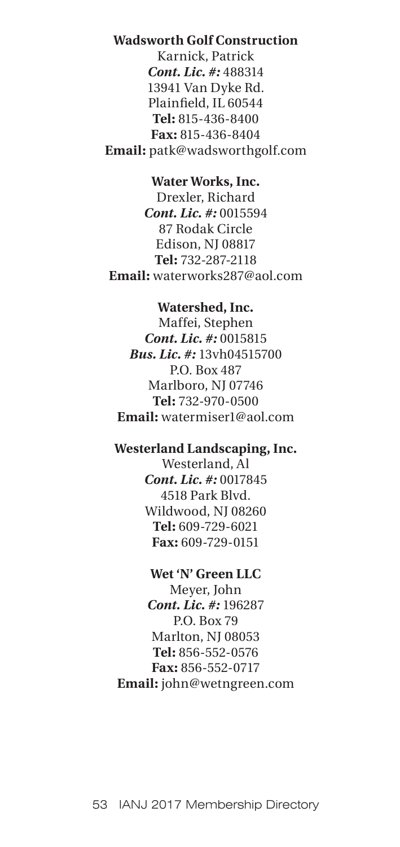# **Wadsworth Golf Construction**

Karnick, Patrick *Cont. Lic. #:* 488314 13941 Van Dyke Rd. Plainfield, IL 60544 **Tel:** 815-436-8400 **Fax:** 815-436-8404 **Email:** patk@wadsworthgolf.com

#### **Water Works, Inc.**

Drexler, Richard *Cont. Lic. #:* 0015594 87 Rodak Circle Edison, NJ 08817 **Tel:** 732-287-2118 **Email:** waterworks287@aol.com

#### **Watershed, Inc.**

Maffei, Stephen *Cont. Lic. #:* 0015815 *Bus. Lic. #:* 13vh04515700 P.O. Box 487 Marlboro, NJ 07746 **Tel:** 732-970-0500 **Email:** watermiser1@aol.com

## **Westerland Landscaping, Inc.**

Westerland, Al *Cont. Lic. #:* 0017845 4518 Park Blvd. Wildwood, NJ 08260 **Tel:** 609-729-6021 **Fax:** 609-729-0151

## **Wet 'N' Green LLC**

Meyer, John *Cont. Lic. #:* 196287 P.O. Box 79 Marlton, NJ 08053 **Tel:** 856-552-0576 **Fax:** 856-552-0717 **Email:** john@wetngreen.com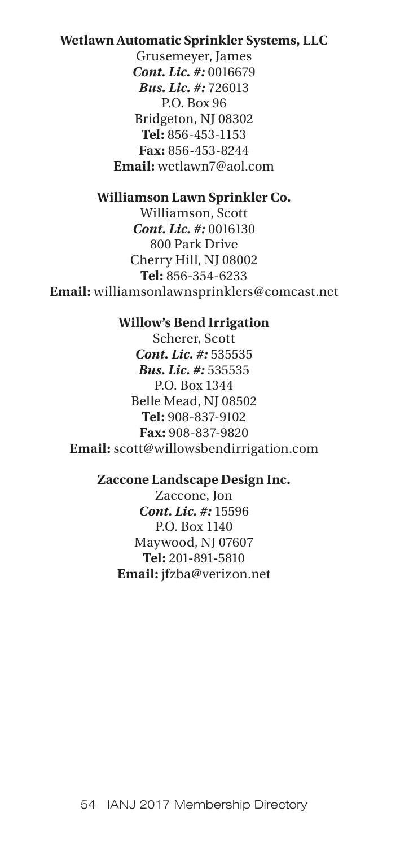# **Wetlawn Automatic Sprinkler Systems, LLC**

Grusemeyer, James *Cont. Lic. #:* 0016679 *Bus. Lic. #:* 726013 P.O. Box 96 Bridgeton, NJ 08302 **Tel:** 856-453-1153 **Fax:** 856-453-8244 **Email:** wetlawn7@aol.com

## **Williamson Lawn Sprinkler Co.**

Williamson, Scott *Cont. Lic. #:* 0016130 800 Park Drive Cherry Hill, NJ 08002 **Tel:** 856-354-6233 **Email:** williamsonlawnsprinklers@comcast.net

#### **Willow's Bend Irrigation**

Scherer, Scott *Cont. Lic. #:* 535535 *Bus. Lic. #:* 535535 P.O. Box 1344 Belle Mead, NJ 08502 **Tel:** 908-837-9102 **Fax:** 908-837-9820 **Email:** scott@willowsbendirrigation.com

## **Zaccone Landscape Design Inc.**

Zaccone, Jon *Cont. Lic. #:* 15596 P.O. Box 1140 Maywood, NJ 07607 **Tel:** 201-891-5810 **Email:** jfzba@verizon.net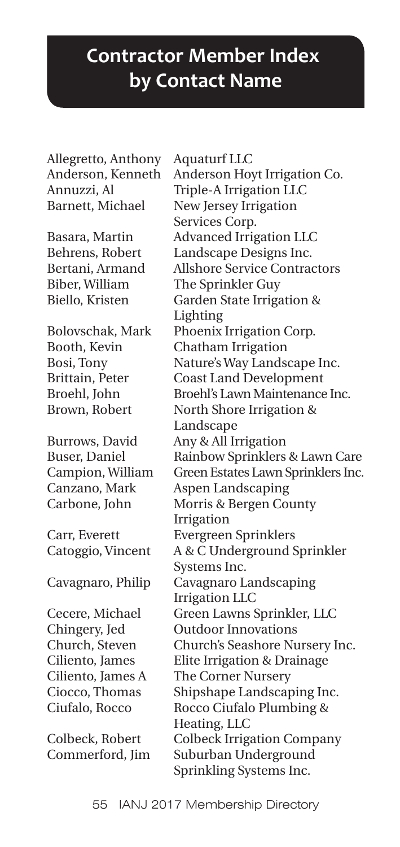# **Contractor Member Index by Contact Name**

Allegretto, Anthony Aquaturf LLC

Anderson, Kenneth Anderson Hoyt Irrigation Co. Annuzzi, Al Triple-A Irrigation LLC Barnett, Michael New Jersey Irrigation Services Corp. Basara, Martin Advanced Irrigation LLC Behrens, Robert Landscape Designs Inc. Bertani, Armand Allshore Service Contractors Biber, William The Sprinkler Guy Biello, Kristen Garden State Irrigation & Lighting Bolovschak, Mark Phoenix Irrigation Corp. Booth, Kevin Chatham Irrigation Bosi, Tony Nature's Way Landscape Inc. Brittain, Peter Coast Land Development Broehl, John Broehl's Lawn Maintenance Inc. Brown, Robert North Shore Irrigation & Landscape Burrows, David Any & All Irrigation Buser, Daniel Rainbow Sprinklers & Lawn Care Campion, William Green Estates Lawn Sprinklers Inc. Canzano, Mark Aspen Landscaping Carbone, John Morris & Bergen County Irrigation Carr, Everett Evergreen Sprinklers Catoggio, Vincent A & C Underground Sprinkler Systems Inc. Cavagnaro, Philip Cavagnaro Landscaping Irrigation LLC Cecere, Michael Green Lawns Sprinkler, LLC Chingery, Jed Outdoor Innovations Church, Steven Church's Seashore Nursery Inc. Ciliento, James Elite Irrigation & Drainage Ciliento, James A The Corner Nursery Ciocco, Thomas Shipshape Landscaping Inc. Ciufalo, Rocco Rocco Ciufalo Plumbing & Heating, LLC Colbeck, Robert Colbeck Irrigation Company Commerford, Jim Suburban Underground Sprinkling Systems Inc.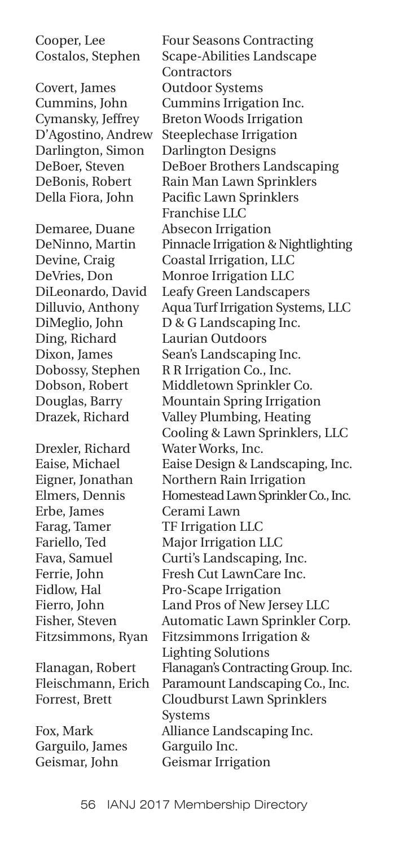Covert, James Outdoor Systems Darlington, Simon Darlington Designs

Demaree, Duane Absecon Irrigation Ding, Richard Laurian Outdoors

Drexler, Richard Water Works, Inc. Erbe, James Cerami Lawn Farag, Tamer TF Irrigation LLC

Garguilo, James Garguilo Inc. Geismar, John Geismar Irrigation

Cooper, Lee Four Seasons Contracting Costalos, Stephen Scape-Abilities Landscape Contractors Cummins, John Cummins Irrigation Inc. Cymansky, Jeffrey Breton Woods Irrigation D'Agostino, Andrew Steeplechase Irrigation DeBoer, Steven DeBoer Brothers Landscaping DeBonis, Robert Rain Man Lawn Sprinklers Della Fiora, John Pacific Lawn Sprinklers Franchise LLC DeNinno, Martin Pinnacle Irrigation & Nightlighting Devine, Craig Coastal Irrigation, LLC DeVries, Don Monroe Irrigation LLC DiLeonardo, David Leafy Green Landscapers Dilluvio, Anthony Aqua Turf Irrigation Systems, LLC DiMeglio, John D & G Landscaping Inc. Dixon, James Sean's Landscaping Inc. Dobossy, Stephen R R Irrigation Co., Inc. Dobson, Robert Middletown Sprinkler Co. Douglas, Barry Mountain Spring Irrigation Drazek, Richard Valley Plumbing, Heating Cooling & Lawn Sprinklers, LLC Eaise, Michael Eaise Design & Landscaping, Inc. Eigner, Jonathan Northern Rain Irrigation Elmers, Dennis Homestead Lawn Sprinkler Co., Inc. Fariello, Ted Major Irrigation LLC Fava, Samuel Curti's Landscaping, Inc. Ferrie, John Fresh Cut LawnCare Inc. Fidlow, Hal Pro-Scape Irrigation Fierro, John Land Pros of New Jersey LLC Fisher, Steven Automatic Lawn Sprinkler Corp. Fitzsimmons, Ryan Fitzsimmons Irrigation & Lighting Solutions Flanagan, Robert Flanagan's Contracting Group. Inc. Fleischmann, Erich Paramount Landscaping Co., Inc. Forrest, Brett Cloudburst Lawn Sprinklers Systems Fox, Mark Alliance Landscaping Inc.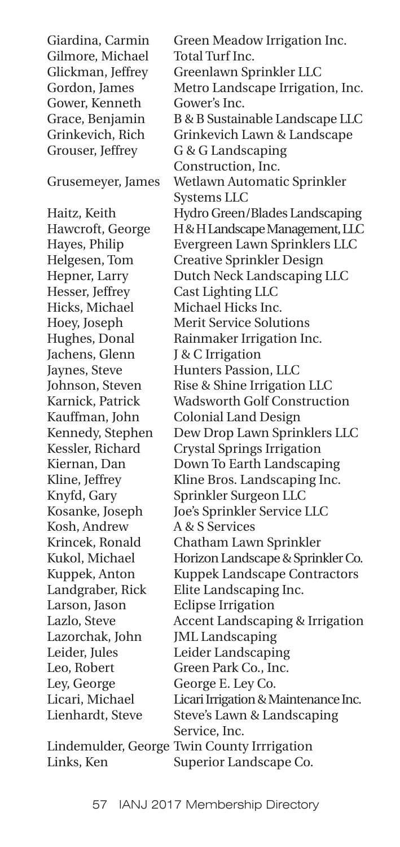Gilmore, Michael Total Turf Inc. Gower, Kenneth Gower's Inc.

Jachens, Glenn J & C Irrigation Kosh, Andrew A & S Services Larson, Jason Eclipse Irrigation Ley, George George E. Ley Co.

Giardina, Carmin Green Meadow Irrigation Inc. Glickman, Jeffrey Greenlawn Sprinkler LLC Gordon, James Metro Landscape Irrigation, Inc. Grace, Benjamin B & B Sustainable Landscape LLC Grinkevich, Rich Grinkevich Lawn & Landscape Grouser, Jeffrey G & G Landscaping Construction, Inc. Grusemeyer, James Wetlawn Automatic Sprinkler Systems LLC Haitz, Keith Hydro Green/Blades Landscaping Hawcroft, George H&H Landscape Management, LLC Hayes, Philip Evergreen Lawn Sprinklers LLC Helgesen, Tom Creative Sprinkler Design Hepner, Larry Dutch Neck Landscaping LLC Hesser, Jeffrey Cast Lighting LLC Hicks, Michael Michael Hicks Inc. Hoey, Joseph Merit Service Solutions Hughes, Donal Rainmaker Irrigation Inc. Jaynes, Steve Hunters Passion, LLC Johnson, Steven Rise & Shine Irrigation LLC Karnick, Patrick Wadsworth Golf Construction Kauffman, John Colonial Land Design Kennedy, Stephen Dew Drop Lawn Sprinklers LLC Kessler, Richard Crystal Springs Irrigation Kiernan, Dan Down To Earth Landscaping Kline, Jeffrey Kline Bros. Landscaping Inc. Knyfd, Gary Sprinkler Surgeon LLC Kosanke, Joseph Joe's Sprinkler Service LLC Krincek, Ronald Chatham Lawn Sprinkler Kukol, Michael Horizon Landscape & Sprinkler Co. Kuppek, Anton Kuppek Landscape Contractors Landgraber, Rick Elite Landscaping Inc. Lazlo, Steve Accent Landscaping & Irrigation Lazorchak, John JML Landscaping Leider, Jules Leider Landscaping Leo, Robert Green Park Co., Inc. Licari, Michael Licari Irrigation & Maintenance Inc. Lienhardt, Steve Steve's Lawn & Landscaping Service, Inc.

Lindemulder, George Twin County Irrrigation Links, Ken Superior Landscape Co.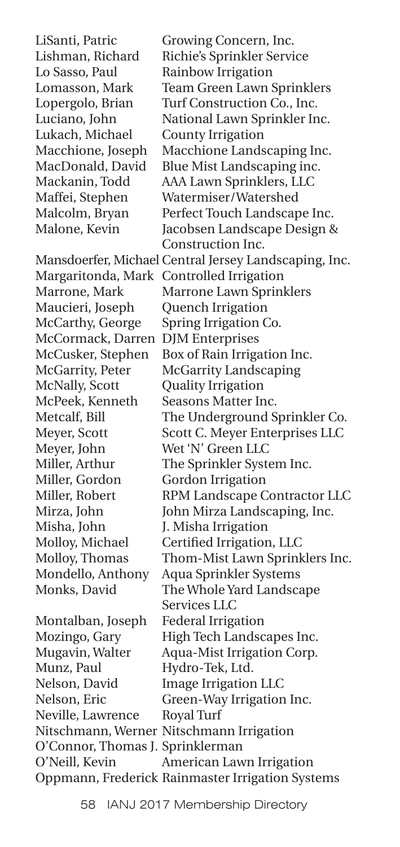Lukach, Michael County Irrigation

Maucieri, Joseph Quench Irrigation McCormack, Darren DJM Enterprises McNally, Scott Quality Irrigation McPeek, Kenneth Seasons Matter Inc. Meyer, John Wet 'N' Green LLC Miller, Gordon Gordon Irrigation Misha, John J. Misha Irrigation

Montalban, Joseph Federal Irrigation Munz, Paul Hydro-Tek, Ltd. Neville, Lawrence Royal Turf O'Connor, Thomas J. Sprinklerman

LiSanti, Patric Growing Concern, Inc. Lishman, Richard Richie's Sprinkler Service Lo Sasso, Paul Rainbow Irrigation Lomasson, Mark Team Green Lawn Sprinklers Lopergolo, Brian Turf Construction Co., Inc. Luciano, John National Lawn Sprinkler Inc. Macchione, Joseph Macchione Landscaping Inc. MacDonald, David Blue Mist Landscaping inc. Mackanin, Todd AAA Lawn Sprinklers, LLC Maffei, Stephen Watermiser/Watershed Malcolm, Bryan Perfect Touch Landscape Inc. Malone, Kevin Jacobsen Landscape Design & Construction Inc. Mansdoerfer, Michael Central Jersey Landscaping, Inc. Margaritonda, Mark Controlled Irrigation Marrone, Mark Marrone Lawn Sprinklers McCarthy, George Spring Irrigation Co. McCusker, Stephen Box of Rain Irrigation Inc. McGarrity, Peter McGarrity Landscaping Metcalf, Bill The Underground Sprinkler Co. Meyer, Scott Scott C. Meyer Enterprises LLC Miller, Arthur The Sprinkler System Inc. Miller, Robert RPM Landscape Contractor LLC Mirza, John John Mirza Landscaping, Inc. Molloy, Michael Certified Irrigation, LLC Molloy, Thomas Thom-Mist Lawn Sprinklers Inc. Mondello, Anthony Aqua Sprinkler Systems Monks, David The Whole Yard Landscape Services LLC Mozingo, Gary High Tech Landscapes Inc. Mugavin, Walter Aqua-Mist Irrigation Corp. Nelson, David Image Irrigation LLC Nelson, Eric Green-Way Irrigation Inc. Nitschmann, Werner Nitschmann Irrigation O'Neill, Kevin American Lawn Irrigation Oppmann, Frederick Rainmaster Irrigation Systems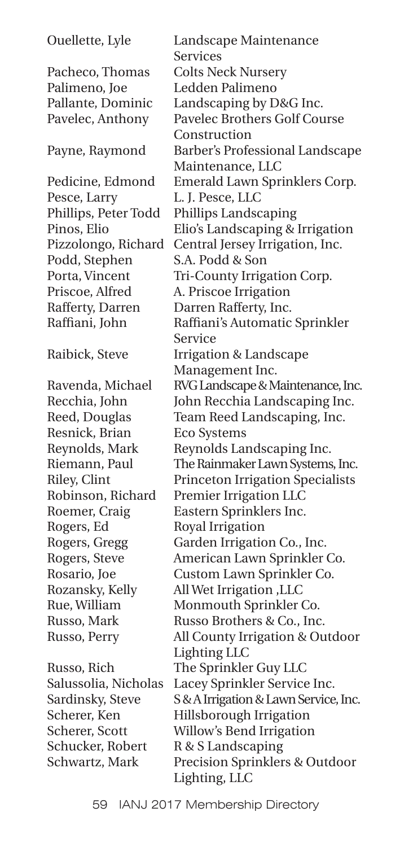Pacheco, Thomas Colts Neck Nursery Palimeno, Joe Ledden Palimeno Pesce, Larry L. J. Pesce, LLC Podd, Stephen S.A. Podd & Son Priscoe, Alfred A. Priscoe Irrigation Rafferty, Darren Darren Rafferty, Inc. Resnick, Brian Eco Systems Rogers, Ed Royal Irrigation

Schucker, Robert R & S Landscaping

Ouellette, Lyle Landscape Maintenance Services Pallante, Dominic Landscaping by D&G Inc. Pavelec, Anthony Pavelec Brothers Golf Course Construction Payne, Raymond Barber's Professional Landscape Maintenance, LLC Pedicine, Edmond Emerald Lawn Sprinklers Corp. Phillips, Peter Todd Phillips Landscaping Pinos, Elio Elio's Landscaping & Irrigation Pizzolongo, Richard Central Jersey Irrigation, Inc. Porta, Vincent Tri-County Irrigation Corp. Raffiani, John Raffiani's Automatic Sprinkler Service Raibick, Steve Irrigation & Landscape Management Inc. Ravenda, Michael RVG Landscape & Maintenance, Inc. Recchia, John John Recchia Landscaping Inc. Reed, Douglas Team Reed Landscaping, Inc. Reynolds, Mark Reynolds Landscaping Inc. Riemann, Paul The Rainmaker Lawn Systems, Inc. Riley, Clint Princeton Irrigation Specialists Robinson, Richard Premier Irrigation LLC Roemer, Craig Eastern Sprinklers Inc. Rogers, Gregg Garden Irrigation Co., Inc. Rogers, Steve American Lawn Sprinkler Co. Rosario, Joe Custom Lawn Sprinkler Co. Rozansky, Kelly All Wet Irrigation ,LLC Rue, William Monmouth Sprinkler Co. Russo, Mark Russo Brothers & Co., Inc. Russo, Perry All County Irrigation & Outdoor Lighting LLC Russo, Rich The Sprinkler Guy LLC Salussolia, Nicholas Lacey Sprinkler Service Inc. Sardinsky, Steve S&A Irrigation & Lawn Service, Inc. Scherer, Ken Hillsborough Irrigation Scherer, Scott Willow's Bend Irrigation Schwartz, Mark Precision Sprinklers & Outdoor Lighting, LLC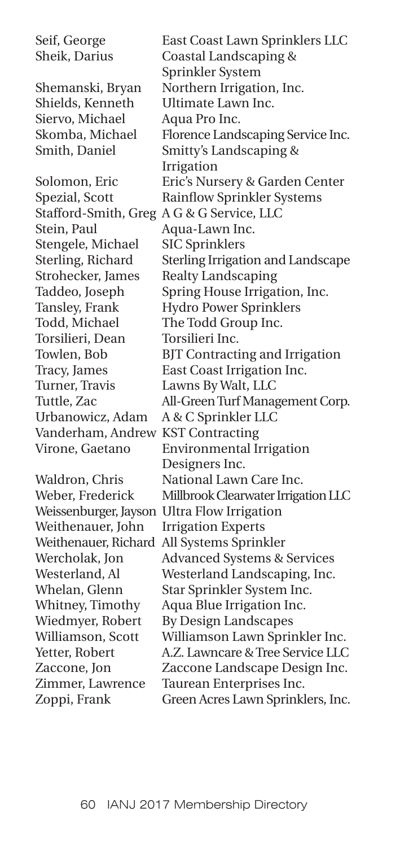Siervo, Michael Aqua Pro Inc.

Stafford-Smith, Greg A G & G Service, LLC Stein, Paul Aqua-Lawn Inc. Stengele, Michael SIC Sprinklers Strohecker, James Realty Landscaping Todd, Michael The Todd Group Inc. Torsilieri, Dean Torsilieri Inc. Turner, Travis Lawns By Walt, LLC Urbanowicz, Adam A & C Sprinkler LLC Vanderham, Andrew KST Contracting

Weithenauer, John Irrigation Experts

Seif, George East Coast Lawn Sprinklers LLC Sheik, Darius Coastal Landscaping & Sprinkler System Shemanski, Bryan Northern Irrigation, Inc. Shields, Kenneth Ultimate Lawn Inc. Skomba, Michael Florence Landscaping Service Inc. Smith, Daniel Smitty's Landscaping & Irrigation Solomon, Eric Eric's Nursery & Garden Center Spezial, Scott Rainflow Sprinkler Systems Sterling, Richard Sterling Irrigation and Landscape Taddeo, Joseph Spring House Irrigation, Inc. Tansley, Frank Hydro Power Sprinklers Towlen, Bob BJT Contracting and Irrigation Tracy, James East Coast Irrigation Inc. Tuttle, Zac All-Green Turf Management Corp. Virone, Gaetano Environmental Irrigation Designers Inc. Waldron, Chris National Lawn Care Inc. Weber, Frederick Millbrook Clearwater Irrigation LLC Weissenburger, Jayson Ultra Flow Irrigation Weithenauer, Richard All Systems Sprinkler Wercholak, Jon Advanced Systems & Services Westerland, Al Westerland Landscaping, Inc. Whelan, Glenn Star Sprinkler System Inc. Whitney, Timothy Aqua Blue Irrigation Inc. Wiedmyer, Robert By Design Landscapes Williamson, Scott Williamson Lawn Sprinkler Inc. Yetter, Robert A.Z. Lawncare & Tree Service LLC Zaccone, Jon Zaccone Landscape Design Inc. Zimmer, Lawrence Taurean Enterprises Inc. Zoppi, Frank Green Acres Lawn Sprinklers, Inc.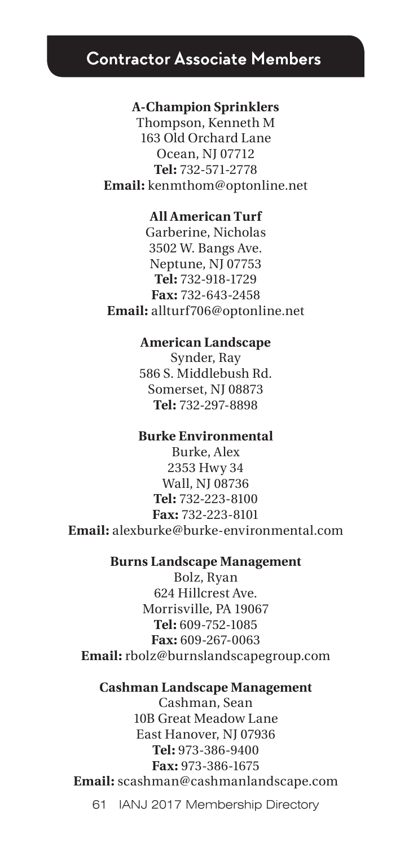# **Contractor Associate Members**

#### **A-Champion Sprinklers**

Thompson, Kenneth M 163 Old Orchard Lane Ocean, NJ 07712 **Tel:** 732-571-2778 **Email:** kenmthom@optonline.net

## **All American Turf**

Garberine, Nicholas 3502 W. Bangs Ave. Neptune, NJ 07753 **Tel:** 732-918-1729 **Fax:** 732-643-2458 **Email:** allturf706@optonline.net

#### **American Landscape**

Synder, Ray 586 S. Middlebush Rd. Somerset, NJ 08873 **Tel:** 732-297-8898

## **Burke Environmental**

Burke, Alex 2353 Hwy 34 Wall, NJ 08736 **Tel:** 732-223-8100 **Fax:** 732-223-8101 **Email:** alexburke@burke-environmental.com

# **Burns Landscape Management**

Bolz, Ryan 624 Hillcrest Ave. Morrisville, PA 19067 **Tel:** 609-752-1085 **Fax:** 609-267-0063 **Email:** rbolz@burnslandscapegroup.com

#### **Cashman Landscape Management**

Cashman, Sean 10B Great Meadow Lane East Hanover, NJ 07936 **Tel:** 973-386-9400 **Fax:** 973-386-1675 **Email:** scashman@cashmanlandscape.com

61 IANJ 2017 Membership Directory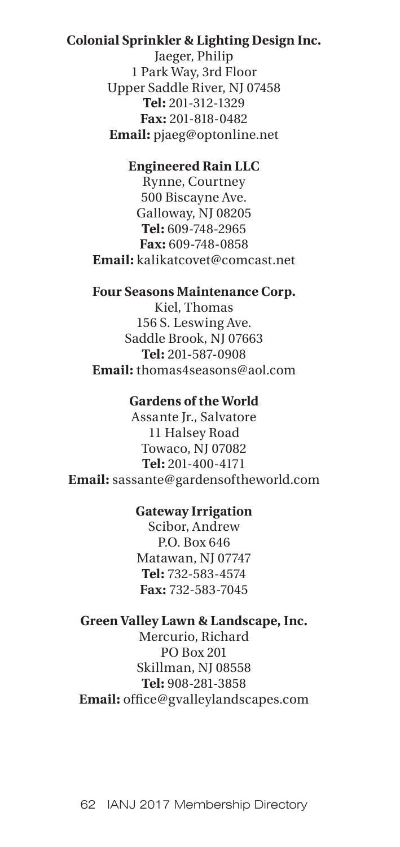## **Colonial Sprinkler & Lighting Design Inc.**

Jaeger, Philip 1 Park Way, 3rd Floor Upper Saddle River, NJ 07458 **Tel:** 201-312-1329 **Fax:** 201-818-0482 **Email:** pjaeg@optonline.net

## **Engineered Rain LLC**

Rynne, Courtney 500 Biscayne Ave. Galloway, NJ 08205 **Tel:** 609-748-2965 **Fax:** 609-748-0858 **Email:** kalikatcovet@comcast.net

#### **Four Seasons Maintenance Corp.**

Kiel, Thomas 156 S. Leswing Ave. Saddle Brook, NJ 07663 **Tel:** 201-587-0908 **Email:** thomas4seasons@aol.com

#### **Gardens of the World**

Assante Jr., Salvatore 11 Halsey Road Towaco, NJ 07082 **Tel:** 201-400-4171 **Email:** sassante@gardensoftheworld.com

## **Gateway Irrigation**

Scibor, Andrew P.O. Box 646 Matawan, NJ 07747 **Tel:** 732-583-4574 **Fax:** 732-583-7045

# **Green Valley Lawn & Landscape, Inc.**

Mercurio, Richard PO Box 201 Skillman, NJ 08558 **Tel:** 908-281-3858 **Email:** office@gvalleylandscapes.com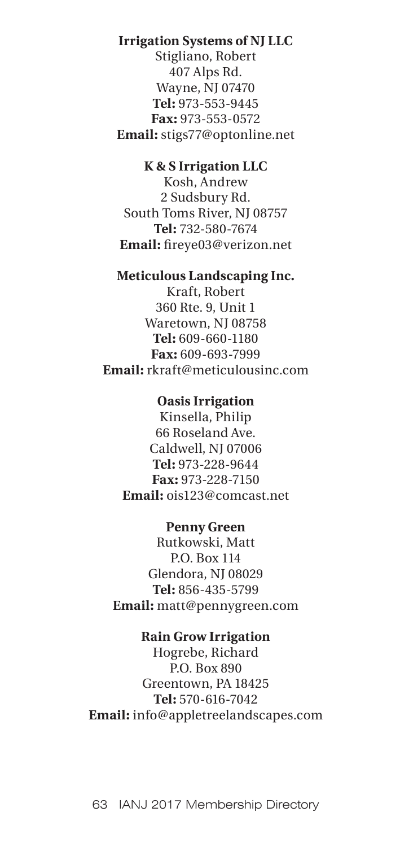# **Irrigation Systems of NJ LLC**

Stigliano, Robert 407 Alps Rd. Wayne, NJ 07470 **Tel:** 973-553-9445 **Fax:** 973-553-0572 **Email:** stigs77@optonline.net

# **K & S Irrigation LLC**

Kosh, Andrew 2 Sudsbury Rd. South Toms River, NJ 08757 **Tel:** 732-580-7674 **Email:** fireye03@verizon.net

## **Meticulous Landscaping Inc.**

Kraft, Robert 360 Rte. 9, Unit 1 Waretown, NJ 08758 **Tel:** 609-660-1180 **Fax:** 609-693-7999 **Email:** rkraft@meticulousinc.com

# **Oasis Irrigation**

Kinsella, Philip 66 Roseland Ave. Caldwell, NJ 07006 **Tel:** 973-228-9644 **Fax:** 973-228-7150 **Email:** ois123@comcast.net

#### **Penny Green**

Rutkowski, Matt P.O. Box 114 Glendora, NJ 08029 **Tel:** 856-435-5799 **Email:** matt@pennygreen.com

## **Rain Grow Irrigation**

Hogrebe, Richard P.O. Box 890 Greentown, PA 18425 **Tel:** 570-616-7042 **Email:** info@appletreelandscapes.com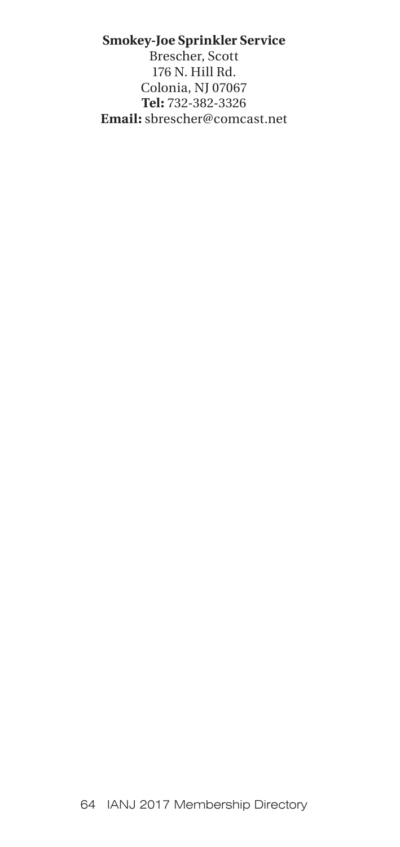# **Smokey-Joe Sprinkler Service**

Brescher, Scott 176 N. Hill Rd. Colonia, NJ 07067 **Tel:** 732-382-3326 **Email:** sbrescher@comcast.net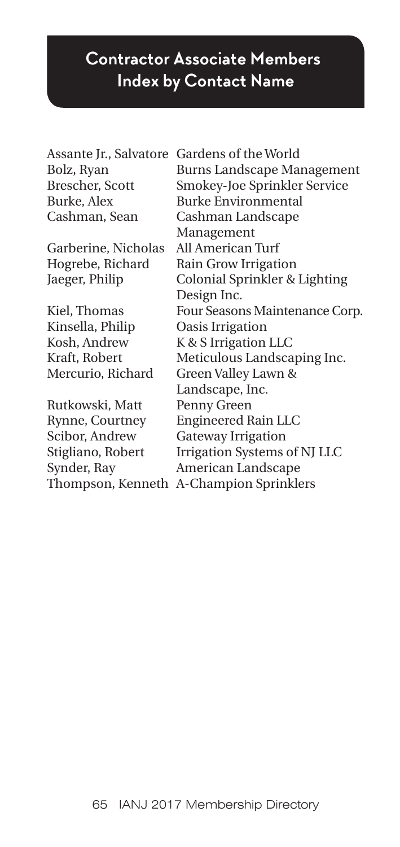# **Contractor Associate Members Index by Contact Name**

| Assante Jr., Salvatore | Gardens of the World              |
|------------------------|-----------------------------------|
| Bolz, Ryan             | <b>Burns Landscape Management</b> |
| Brescher, Scott        | Smokey-Joe Sprinkler Service      |
| Burke, Alex            | <b>Burke Environmental</b>        |
| Cashman, Sean          | Cashman Landscape                 |
|                        | Management                        |
| Garberine, Nicholas    | All American Turf                 |
| Hogrebe, Richard       | Rain Grow Irrigation              |
| Jaeger, Philip         | Colonial Sprinkler & Lighting     |
|                        | Design Inc.                       |
| Kiel, Thomas           | Four Seasons Maintenance Corp.    |
| Kinsella, Philip       | Oasis Irrigation                  |
| Kosh, Andrew           | K & S Irrigation LLC              |
| Kraft, Robert          | Meticulous Landscaping Inc.       |
| Mercurio, Richard      | Green Valley Lawn &               |
|                        | Landscape, Inc.                   |
| Rutkowski, Matt        | Penny Green                       |
| Rynne, Courtney        | <b>Engineered Rain LLC</b>        |
| Scibor, Andrew         | <b>Gateway Irrigation</b>         |
| Stigliano, Robert      | Irrigation Systems of NJ LLC      |
| Synder, Ray            | American Landscape                |
| Thompson, Kenneth      | A-Champion Sprinklers             |
|                        |                                   |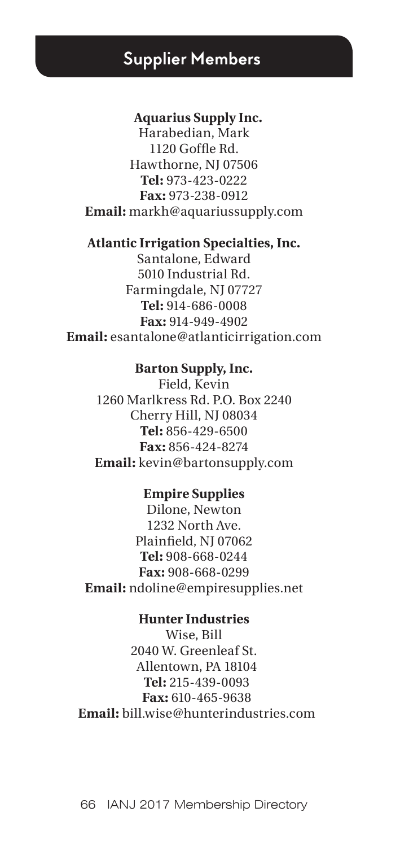# **Supplier Members**

#### **Aquarius Supply Inc.**

Harabedian, Mark 1120 Goffle Rd. Hawthorne, NJ 07506 **Tel:** 973-423-0222 **Fax:** 973-238-0912 **Email:** markh@aquariussupply.com

#### **Atlantic Irrigation Specialties, Inc.**

Santalone, Edward 5010 Industrial Rd. Farmingdale, NJ 07727 **Tel:** 914-686-0008 **Fax:** 914-949-4902 **Email:** esantalone@atlanticirrigation.com

#### **Barton Supply, Inc.**

Field, Kevin 1260 Marlkress Rd. P.O. Box 2240 Cherry Hill, NJ 08034 **Tel:** 856-429-6500 **Fax:** 856-424-8274 **Email:** kevin@bartonsupply.com

## **Empire Supplies**

Dilone, Newton 1232 North Ave. Plainfield, NJ 07062 **Tel:** 908-668-0244 **Fax:** 908-668-0299 **Email:** ndoline@empiresupplies.net

## **Hunter Industries**

Wise, Bill 2040 W. Greenleaf St. Allentown, PA 18104  **Tel:** 215-439-0093  **Fax:** 610-465-9638  **Email:** bill.wise@hunterindustries.com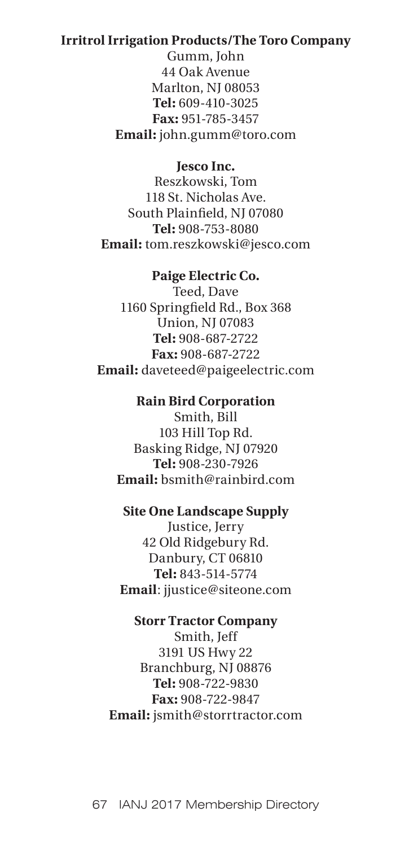## **Irritrol Irrigation Products/The Toro Company**

Gumm, John 44 Oak Avenue Marlton, NJ 08053 **Tel:** 609-410-3025 **Fax:** 951-785-3457 **Email:** john.gumm@toro.com

**Jesco Inc.** 

Reszkowski, Tom 118 St. Nicholas Ave. South Plainfield, NJ 07080 **Tel:** 908-753-8080 **Email:** tom.reszkowski@jesco.com

## **Paige Electric Co.**

Teed, Dave 1160 Springfield Rd., Box 368 Union, NJ 07083 **Tel:** 908-687-2722 **Fax:** 908-687-2722 **Email:** daveteed@paigeelectric.com

## **Rain Bird Corporation**

Smith, Bill 103 Hill Top Rd. Basking Ridge, NJ 07920 **Tel:** 908-230-7926 **Email:** bsmith@rainbird.com

#### **Site One Landscape Supply**

Justice, Jerry 42 Old Ridgebury Rd. Danbury, CT 06810 **Tel:** 843-514-5774 **Email**: jjustice@siteone.com

### **Storr Tractor Company**

Smith, Jeff 3191 US Hwy 22 Branchburg, NJ 08876 **Tel:** 908-722-9830 **Fax:** 908-722-9847 **Email:** jsmith@storrtractor.com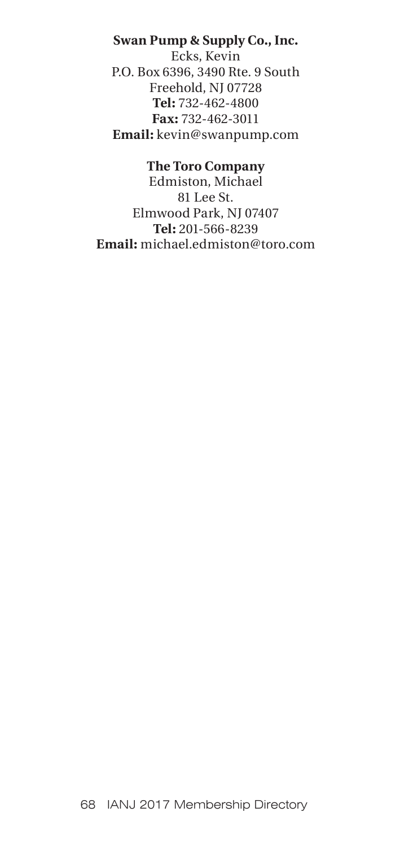# **Swan Pump & Supply Co., Inc.**

Ecks, Kevin P.O. Box 6396, 3490 Rte. 9 South Freehold, NJ 07728 **Tel:** 732-462-4800 **Fax:** 732-462-3011 **Email:** kevin@swanpump.com

# **The Toro Company**

Edmiston, Michael 81 Lee St. Elmwood Park, NJ 07407 **Tel:** 201-566-8239 **Email:** michael.edmiston@toro.com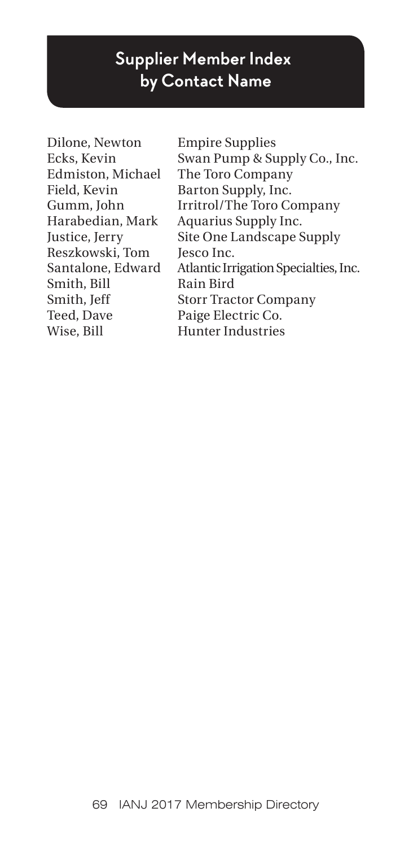# **Supplier Member Index by Contact Name**

Dilone, Newton Empire Supplies Field, Kevin Barton Supply, Inc. Reszkowski, Tom Jesco Inc. Smith, Bill Rain Bird Teed, Dave Paige Electric Co. Wise, Bill Hunter Industries

Ecks, Kevin Swan Pump & Supply Co., Inc. Edmiston, Michael The Toro Company Gumm, John Irritrol/The Toro Company Harabedian, Mark Aquarius Supply Inc. Justice, Jerry Site One Landscape Supply Santalone, Edward Atlantic Irrigation Specialties, Inc. Smith, Jeff Storr Tractor Company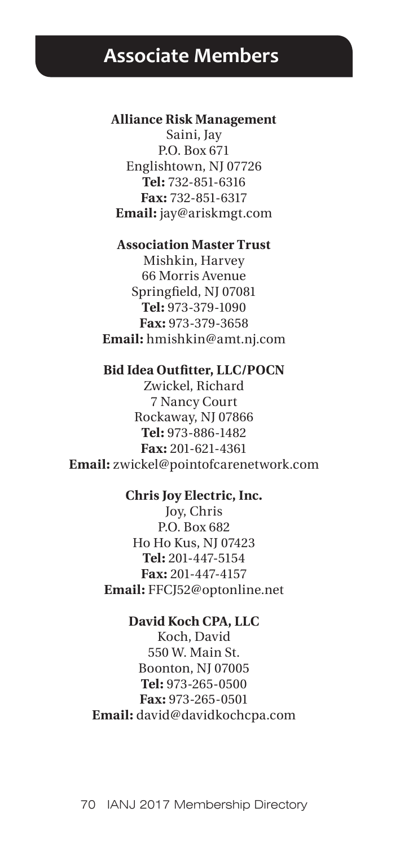# **Associate Members**

#### **Alliance Risk Management**

Saini, Jay P.O. Box 671 Englishtown, NJ 07726 **Tel:** 732-851-6316 **Fax:** 732-851-6317 **Email:** jay@ariskmgt.com

#### **Association Master Trust**

Mishkin, Harvey 66 Morris Avenue Springfield, NJ 07081 **Tel:** 973-379-1090 **Fax:** 973-379-3658 **Email:** hmishkin@amt.nj.com

## **Bid Idea Outfitter, LLC/POCN**

Zwickel, Richard 7 Nancy Court Rockaway, NJ 07866 **Tel:** 973-886-1482 **Fax:** 201-621-4361 **Email:** zwickel@pointofcarenetwork.com

#### **Chris Joy Electric, Inc.**

Joy, Chris P.O. Box 682 Ho Ho Kus, NJ 07423 **Tel:** 201-447-5154 **Fax:** 201-447-4157 **Email:** FFCJ52@optonline.net

## **David Koch CPA, LLC**

Koch, David 550 W. Main St. Boonton, NJ 07005 **Tel:** 973-265-0500 **Fax:** 973-265-0501 **Email:** david@davidkochcpa.com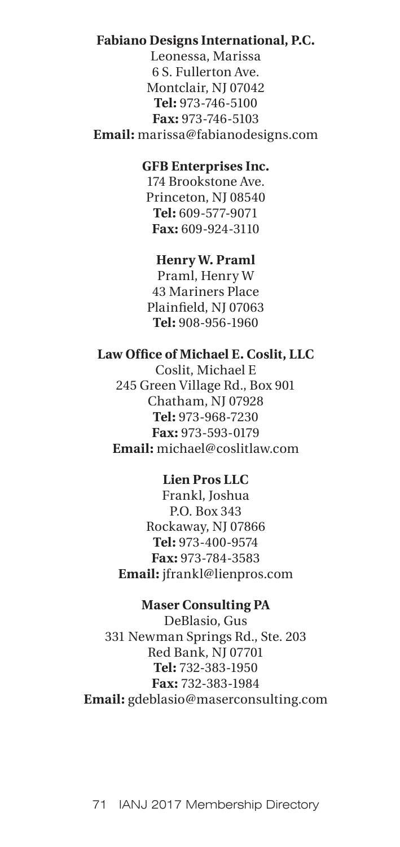# **Fabiano Designs International, P.C.**

Leonessa, Marissa 6 S. Fullerton Ave. Montclair, NJ 07042 **Tel:** 973-746-5100 **Fax:** 973-746-5103 **Email:** marissa@fabianodesigns.com

# **GFB Enterprises Inc.**

174 Brookstone Ave. Princeton, NJ 08540 **Tel:** 609-577-9071 **Fax:** 609-924-3110

## **Henry W. Praml**

Praml, Henry W 43 Mariners Place Plainfield, NJ 07063 **Tel:** 908-956-1960

## **Law Office of Michael E. Coslit, LLC**

Coslit, Michael E 245 Green Village Rd., Box 901 Chatham, NJ 07928 **Tel:** 973-968-7230 **Fax:** 973-593-0179 **Email:** michael@coslitlaw.com

## **Lien Pros LLC**

Frankl, Joshua P.O. Box 343 Rockaway, NJ 07866 **Tel:** 973-400-9574 **Fax:** 973-784-3583 **Email:** jfrankl@lienpros.com

#### **Maser Consulting PA**

DeBlasio, Gus 331 Newman Springs Rd., Ste. 203 Red Bank, NJ 07701 **Tel:** 732-383-1950 **Fax:** 732-383-1984 **Email:** gdeblasio@maserconsulting.com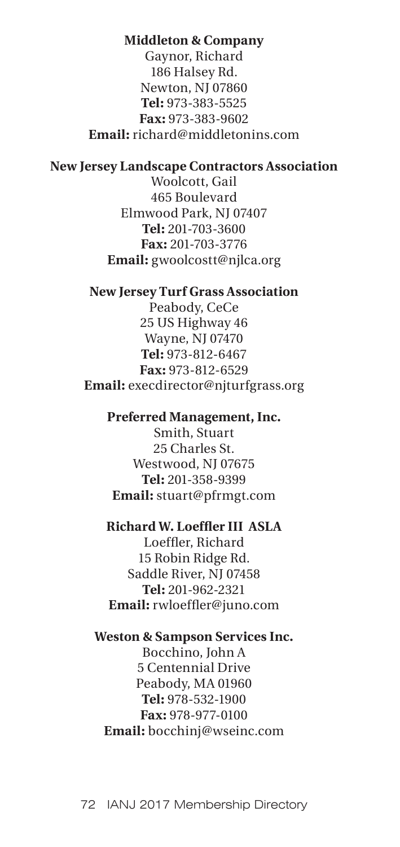### **Middleton & Company**

Gaynor, Richard 186 Halsey Rd. Newton, NJ 07860 **Tel:** 973-383-5525 **Fax:** 973-383-9602 **Email:** richard@middletonins.com

## **New Jersey Landscape Contractors Association**

Woolcott, Gail 465 Boulevard Elmwood Park, NJ 07407 **Tel:** 201-703-3600 **Fax:** 201-703-3776 **Email:** gwoolcostt@njlca.org

# **New Jersey Turf Grass Association**

Peabody, CeCe 25 US Highway 46 Wayne, NJ 07470 **Tel:** 973-812-6467 **Fax:** 973-812-6529 **Email:** execdirector@njturfgrass.org

## **Preferred Management, Inc.**

Smith, Stuart 25 Charles St. Westwood, NJ 07675 **Tel:** 201-358-9399 **Email:** stuart@pfrmgt.com

## **Richard W. Loeffler III ASLA**

Loeffler, Richard 15 Robin Ridge Rd. Saddle River, NJ 07458 **Tel:** 201-962-2321 **Email:** rwloeffler@juno.com

#### **Weston & Sampson Services Inc.**

Bocchino, John A 5 Centennial Drive Peabody, MA 01960 **Tel:** 978-532-1900 **Fax:** 978-977-0100 **Email:** bocchinj@wseinc.com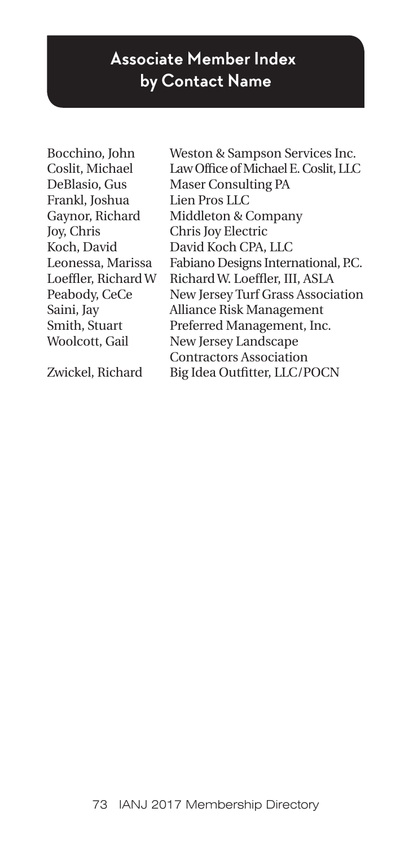## **Associate Member Index by Contact Name**

Frankl, Joshua Lien Pros LLC Joy, Chris Chris Joy Electric

Bocchino, John Weston & Sampson Services Inc. Coslit, Michael Law Office of Michael E. Coslit, LLC DeBlasio, Gus Maser Consulting PA Gaynor, Richard Middleton & Company Koch, David David Koch CPA, LLC Leonessa, Marissa Fabiano Designs International, P.C. Loeffler, Richard W Richard W. Loeffler, III, ASLA Peabody, CeCe New Jersey Turf Grass Association Saini, Jay Alliance Risk Management Smith, Stuart Preferred Management, Inc. Woolcott, Gail New Jersey Landscape Contractors Association Zwickel, Richard Big Idea Outfitter, LLC/POCN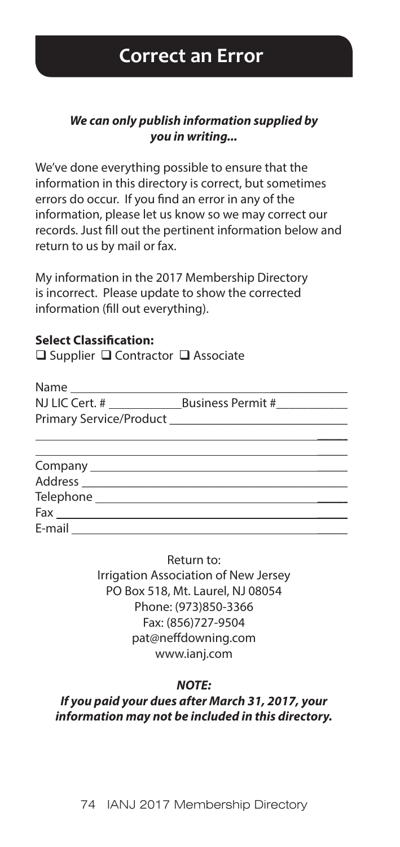#### *We can only publish information supplied by you in writing...*

We've done everything possible to ensure that the information in this directory is correct, but sometimes errors do occur. If you find an error in any of the information, please let us know so we may correct our records. Just fill out the pertinent information below and return to us by mail or fax.

My information in the 2017 Membership Directory is incorrect. Please update to show the corrected information (fill out everything).

#### **Select Classification:**

 $\Box$  Supplier  $\Box$  Contractor  $\Box$  Associate

| Name                    |                   |
|-------------------------|-------------------|
| NJ LIC Cert. #          | Business Permit # |
| Primary Service/Product |                   |
|                         |                   |

| Fax    |  |  |
|--------|--|--|
| E-mail |  |  |

Return to:

Irrigation Association of New Jersey PO Box 518, Mt. Laurel, NJ 08054 Phone: (973)850-3366 Fax: (856)727-9504 pat@neffdowning.com www.ianj.com

#### *NOTE:*

*If you paid your dues after March 31, 2017, your information may not be included in this directory.*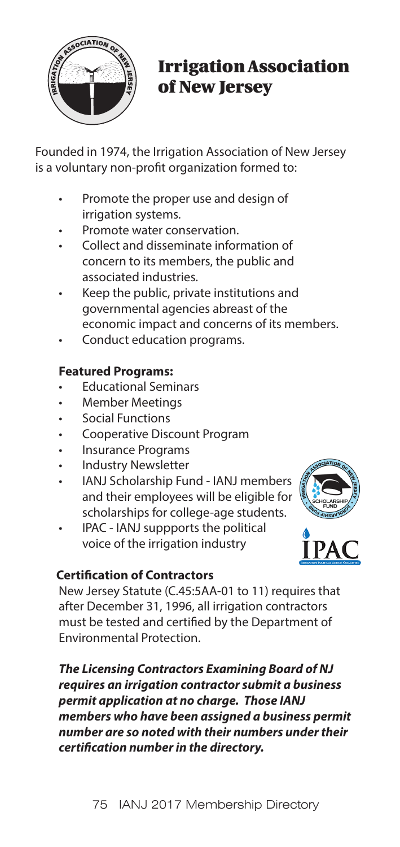

## Irrigation Association of New Jersey

Founded in 1974, the Irrigation Association of New Jersey is a voluntary non-profit organization formed to:

- Promote the proper use and design of irrigation systems.
- Promote water conservation.
- Collect and disseminate information of concern to its members, the public and associated industries.
- Keep the public, private institutions and governmental agencies abreast of the economic impact and concerns of its members.
- Conduct education programs.

### **Featured Programs:**

- Educational Seminars
- Member Meetings
- Social Functions
- Cooperative Discount Program
- Insurance Programs
- Industry Newsletter
- IANJ Scholarship Fund IANJ members and their employees will be eligible for scholarships for college-age students.
- IPAC IANJ suppports the political voice of the irrigation industry



### **Certification of Contractors**

New Jersey Statute (C.45:5AA-01 to 11) requires that after December 31, 1996, all irrigation contractors must be tested and certified by the Department of Environmental Protection.

*The Licensing Contractors Examining Board of NJ requires an irrigation contractor submit a business permit application at no charge. Those IANJ members who have been assigned a business permit number are so noted with their numbers under their certification number in the directory.*